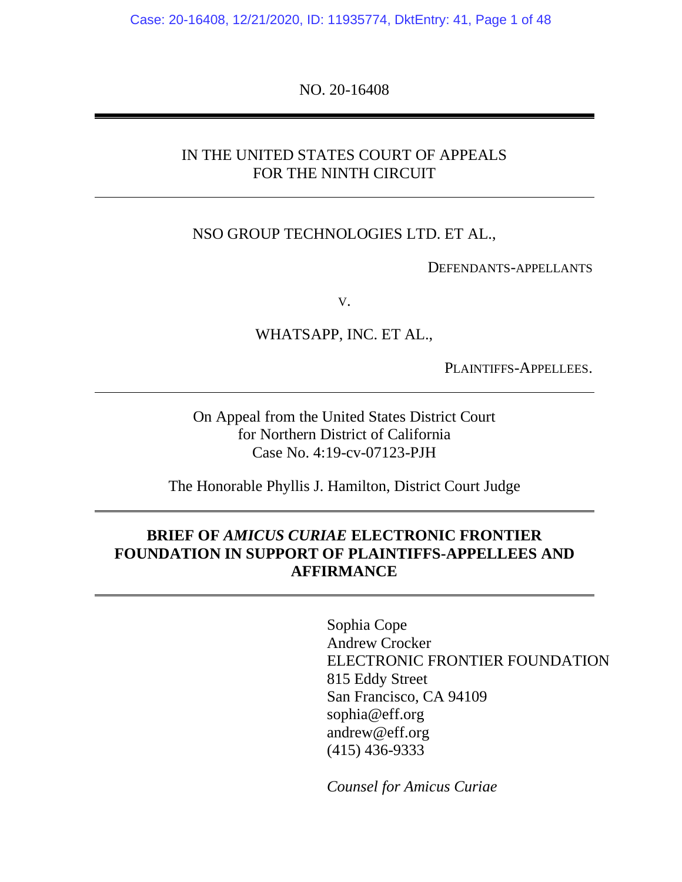Case: 20-16408, 12/21/2020, ID: 11935774, DktEntry: 41, Page 1 of 48

NO. 20-16408

#### IN THE UNITED STATES COURT OF APPEALS FOR THE NINTH CIRCUIT

#### NSO GROUP TECHNOLOGIES LTD. ET AL.,

DEFENDANTS-APPELLANTS

V.

#### WHATSAPP, INC. ET AL.,

PLAINTIFFS-APPELLEES.

On Appeal from the United States District Court for Northern District of California Case No. 4:19-cv-07123-PJH

The Honorable Phyllis J. Hamilton, District Court Judge

### **BRIEF OF** *AMICUS CURIAE* **ELECTRONIC FRONTIER FOUNDATION IN SUPPORT OF PLAINTIFFS-APPELLEES AND AFFIRMANCE**

Sophia Cope Andrew Crocker ELECTRONIC FRONTIER FOUNDATION 815 Eddy Street San Francisco, CA 94109 sophia@eff.org andrew@eff.org (415) 436-9333

*Counsel for Amicus Curiae*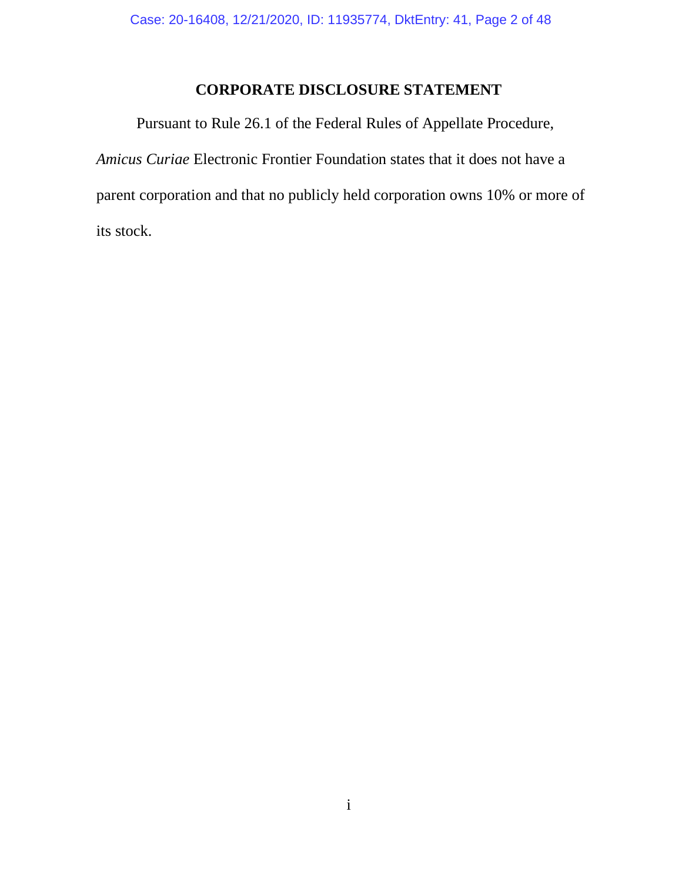## **CORPORATE DISCLOSURE STATEMENT**

Pursuant to Rule 26.1 of the Federal Rules of Appellate Procedure, *Amicus Curiae* Electronic Frontier Foundation states that it does not have a parent corporation and that no publicly held corporation owns 10% or more of its stock.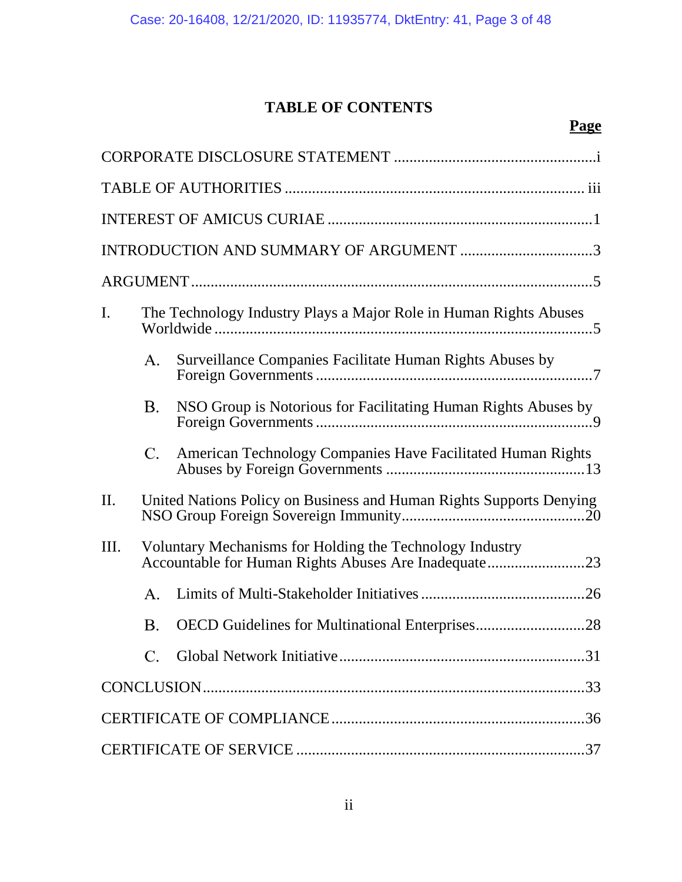# **TABLE OF CONTENTS**

# **Page**

| I.   | The Technology Industry Plays a Major Role in Human Rights Abuses |                                                                                                                  |  |  |  |  |
|------|-------------------------------------------------------------------|------------------------------------------------------------------------------------------------------------------|--|--|--|--|
|      | А.                                                                | Surveillance Companies Facilitate Human Rights Abuses by                                                         |  |  |  |  |
|      | Β.                                                                | NSO Group is Notorious for Facilitating Human Rights Abuses by                                                   |  |  |  |  |
|      | C.                                                                | American Technology Companies Have Facilitated Human Rights                                                      |  |  |  |  |
| II.  |                                                                   | United Nations Policy on Business and Human Rights Supports Denying                                              |  |  |  |  |
| III. |                                                                   | Voluntary Mechanisms for Holding the Technology Industry<br>Accountable for Human Rights Abuses Are Inadequate23 |  |  |  |  |
|      | А.                                                                |                                                                                                                  |  |  |  |  |
|      | Β.                                                                |                                                                                                                  |  |  |  |  |
|      | $C_{\cdot}$                                                       |                                                                                                                  |  |  |  |  |
|      |                                                                   |                                                                                                                  |  |  |  |  |
|      |                                                                   |                                                                                                                  |  |  |  |  |
|      |                                                                   |                                                                                                                  |  |  |  |  |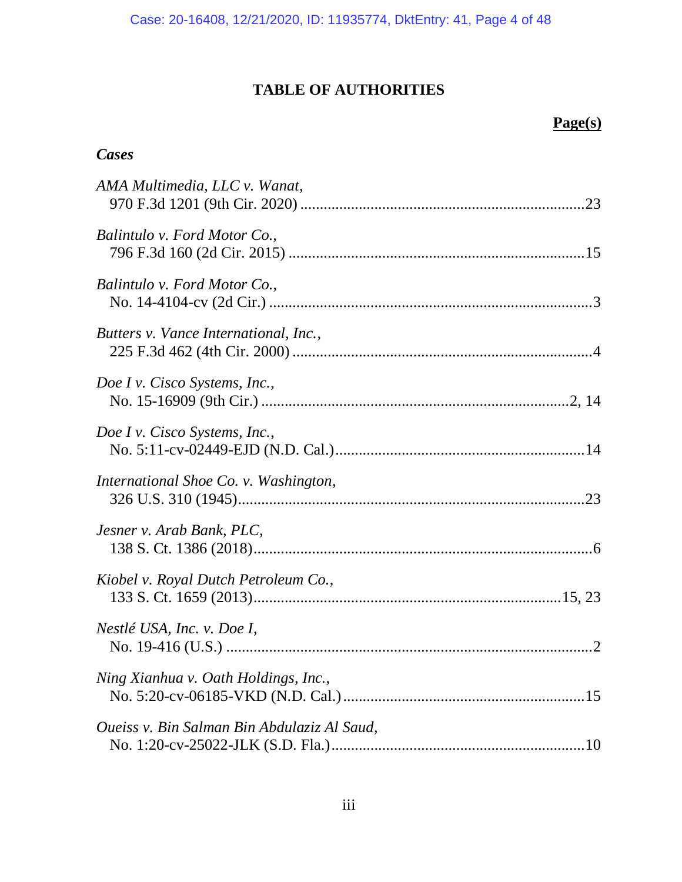# **TABLE OF AUTHORITIES**

## **Page(s)**

## *Cases*

| AMA Multimedia, LLC v. Wanat,               |
|---------------------------------------------|
| Balintulo v. Ford Motor Co.,                |
| Balintulo v. Ford Motor Co.,                |
| Butters v. Vance International, Inc.,       |
| Doe I v. Cisco Systems, Inc.,               |
| Doe I v. Cisco Systems, Inc.,               |
| International Shoe Co. v. Washington,       |
| Jesner v. Arab Bank, PLC,                   |
| Kiobel v. Royal Dutch Petroleum Co.,        |
| Nestlé USA, Inc. v. Doe I,                  |
| Ning Xianhua v. Oath Holdings, Inc.,        |
| Oueiss v. Bin Salman Bin Abdulaziz Al Saud, |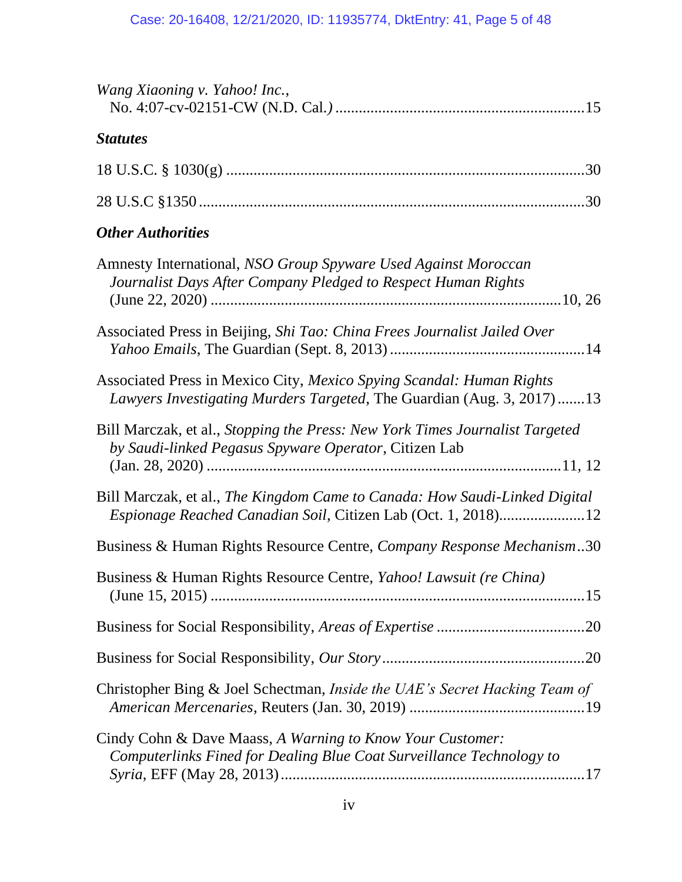| Wang Xiaoning v. Yahoo! Inc.,                                                                                                                 |
|-----------------------------------------------------------------------------------------------------------------------------------------------|
| <b>Statutes</b>                                                                                                                               |
|                                                                                                                                               |
|                                                                                                                                               |
| <b>Other Authorities</b>                                                                                                                      |
| Amnesty International, NSO Group Spyware Used Against Moroccan<br>Journalist Days After Company Pledged to Respect Human Rights               |
| Associated Press in Beijing, Shi Tao: China Frees Journalist Jailed Over                                                                      |
| Associated Press in Mexico City, Mexico Spying Scandal: Human Rights<br>Lawyers Investigating Murders Targeted, The Guardian (Aug. 3, 2017)13 |
| Bill Marczak, et al., Stopping the Press: New York Times Journalist Targeted<br>by Saudi-linked Pegasus Spyware Operator, Citizen Lab         |
| Bill Marczak, et al., The Kingdom Came to Canada: How Saudi-Linked Digital<br>Espionage Reached Canadian Soil, Citizen Lab (Oct. 1, 2018)12   |
| Business & Human Rights Resource Centre, Company Response Mechanism30                                                                         |
| Business & Human Rights Resource Centre, <i>Yahoo! Lawsuit (re China)</i>                                                                     |
|                                                                                                                                               |
|                                                                                                                                               |
| Christopher Bing & Joel Schectman, Inside the UAE's Secret Hacking Team of                                                                    |
| Cindy Cohn & Dave Maass, A Warning to Know Your Customer:<br>Computerlinks Fined for Dealing Blue Coat Surveillance Technology to             |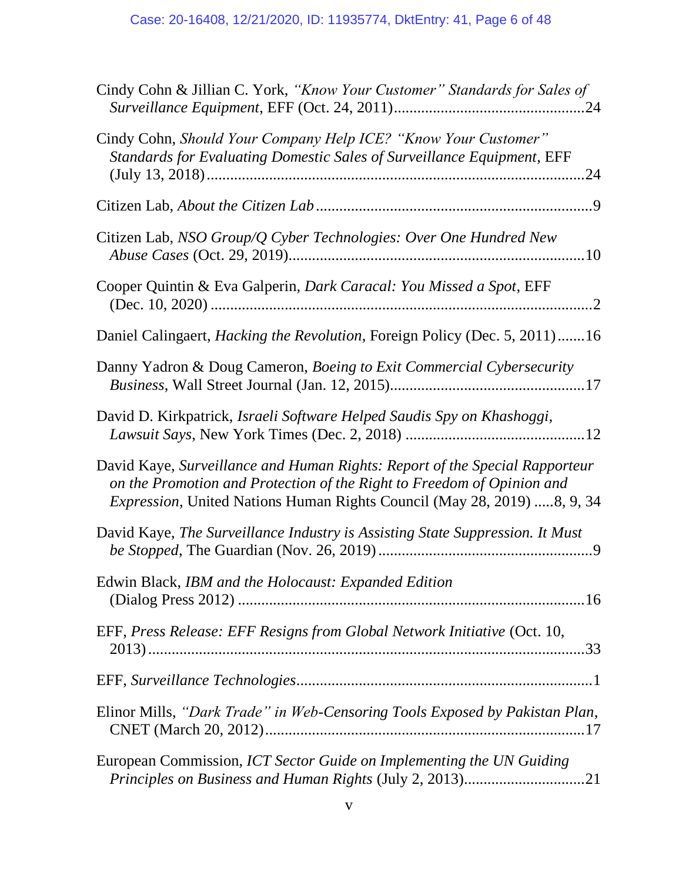| Cindy Cohn & Jillian C. York, "Know Your Customer" Standards for Sales of                                                                                                                                                        |
|----------------------------------------------------------------------------------------------------------------------------------------------------------------------------------------------------------------------------------|
| Cindy Cohn, Should Your Company Help ICE? "Know Your Customer"<br>Standards for Evaluating Domestic Sales of Surveillance Equipment, EFF                                                                                         |
|                                                                                                                                                                                                                                  |
| Citizen Lab, NSO Group/Q Cyber Technologies: Over One Hundred New                                                                                                                                                                |
| Cooper Quintin & Eva Galperin, Dark Caracal: You Missed a Spot, EFF                                                                                                                                                              |
| Daniel Calingaert, <i>Hacking the Revolution</i> , Foreign Policy (Dec. 5, 2011)16                                                                                                                                               |
| Danny Yadron & Doug Cameron, Boeing to Exit Commercial Cybersecurity                                                                                                                                                             |
| David D. Kirkpatrick, Israeli Software Helped Saudis Spy on Khashoggi,                                                                                                                                                           |
| David Kaye, Surveillance and Human Rights: Report of the Special Rapporteur<br>on the Promotion and Protection of the Right to Freedom of Opinion and<br>Expression, United Nations Human Rights Council (May 28, 2019) 8, 9, 34 |
| David Kaye, The Surveillance Industry is Assisting State Suppression. It Must                                                                                                                                                    |
| Edwin Black, IBM and the Holocaust: Expanded Edition                                                                                                                                                                             |
| EFF, Press Release: EFF Resigns from Global Network Initiative (Oct. 10,                                                                                                                                                         |
|                                                                                                                                                                                                                                  |
| Elinor Mills, "Dark Trade" in Web-Censoring Tools Exposed by Pakistan Plan,                                                                                                                                                      |
| European Commission, ICT Sector Guide on Implementing the UN Guiding                                                                                                                                                             |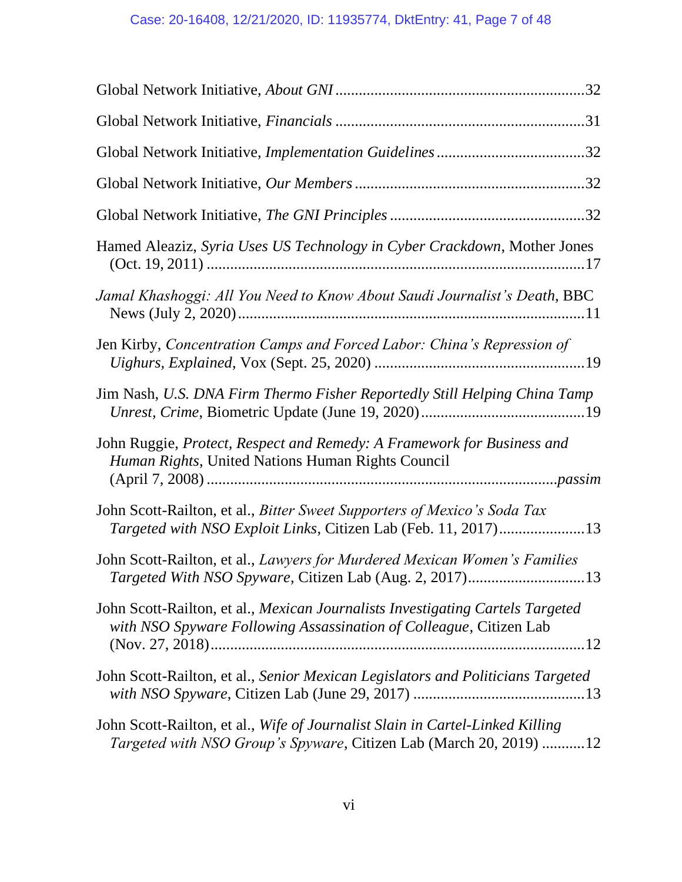| Hamed Aleaziz, Syria Uses US Technology in Cyber Crackdown, Mother Jones                                                                                   |
|------------------------------------------------------------------------------------------------------------------------------------------------------------|
| Jamal Khashoggi: All You Need to Know About Saudi Journalist's Death, BBC                                                                                  |
| Jen Kirby, Concentration Camps and Forced Labor: China's Repression of                                                                                     |
| Jim Nash, U.S. DNA Firm Thermo Fisher Reportedly Still Helping China Tamp                                                                                  |
| John Ruggie, Protect, Respect and Remedy: A Framework for Business and<br>Human Rights, United Nations Human Rights Council                                |
| John Scott-Railton, et al., Bitter Sweet Supporters of Mexico's Soda Tax                                                                                   |
| John Scott-Railton, et al., Lawyers for Murdered Mexican Women's Families                                                                                  |
| John Scott-Railton, et al., Mexican Journalists Investigating Cartels Targeted<br>with NSO Spyware Following Assassination of Colleague, Citizen Lab       |
| John Scott-Railton, et al., Senior Mexican Legislators and Politicians Targeted                                                                            |
| John Scott-Railton, et al., Wife of Journalist Slain in Cartel-Linked Killing<br><i>Targeted with NSO Group's Spyware, Citizen Lab (March 20, 2019) 12</i> |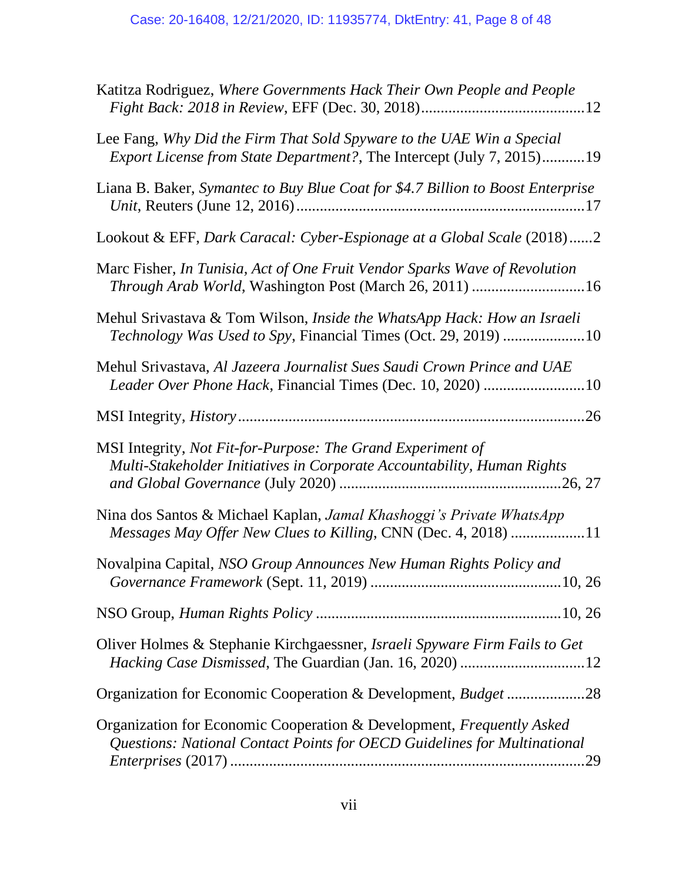| Katitza Rodriguez, Where Governments Hack Their Own People and People                                                                                    |
|----------------------------------------------------------------------------------------------------------------------------------------------------------|
| Lee Fang, Why Did the Firm That Sold Spyware to the UAE Win a Special<br><i>Export License from State Department?</i> , The Intercept (July 7, 2015)19   |
| Liana B. Baker, Symantec to Buy Blue Coat for \$4.7 Billion to Boost Enterprise                                                                          |
| Lookout & EFF, Dark Caracal: Cyber-Espionage at a Global Scale (2018)2                                                                                   |
| Marc Fisher, In Tunisia, Act of One Fruit Vendor Sparks Wave of Revolution<br>Through Arab World, Washington Post (March 26, 2011) 16                    |
| Mehul Srivastava & Tom Wilson, Inside the WhatsApp Hack: How an Israeli<br>Technology Was Used to Spy, Financial Times (Oct. 29, 2019) 10                |
| Mehul Srivastava, Al Jazeera Journalist Sues Saudi Crown Prince and UAE<br>Leader Over Phone Hack, Financial Times (Dec. 10, 2020) 10                    |
|                                                                                                                                                          |
| MSI Integrity, Not Fit-for-Purpose: The Grand Experiment of<br>Multi-Stakeholder Initiatives in Corporate Accountability, Human Rights                   |
| Nina dos Santos & Michael Kaplan, Jamal Khashoggi's Private WhatsApp<br>Messages May Offer New Clues to Killing, CNN (Dec. 4, 2018) 11                   |
| Novalpina Capital, NSO Group Announces New Human Rights Policy and                                                                                       |
|                                                                                                                                                          |
| Oliver Holmes & Stephanie Kirchgaessner, <i>Israeli Spyware Firm Fails to Get</i>                                                                        |
| Organization for Economic Cooperation & Development, <i>Budget</i> 28                                                                                    |
| Organization for Economic Cooperation & Development, Frequently Asked<br>Questions: National Contact Points for OECD Guidelines for Multinational<br>.29 |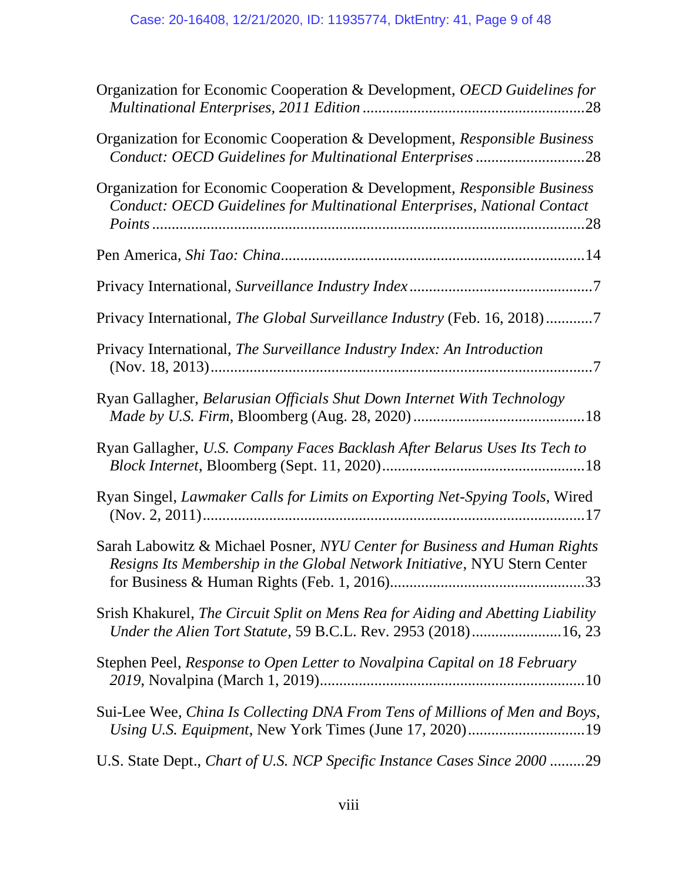| Organization for Economic Cooperation & Development, OECD Guidelines for                                                                               |
|--------------------------------------------------------------------------------------------------------------------------------------------------------|
| Organization for Economic Cooperation & Development, Responsible Business<br>Conduct: OECD Guidelines for Multinational Enterprises28                  |
| Organization for Economic Cooperation & Development, Responsible Business<br>Conduct: OECD Guidelines for Multinational Enterprises, National Contact  |
|                                                                                                                                                        |
|                                                                                                                                                        |
| Privacy International, The Global Surveillance Industry (Feb. 16, 2018)7                                                                               |
| Privacy International, The Surveillance Industry Index: An Introduction                                                                                |
| Ryan Gallagher, Belarusian Officials Shut Down Internet With Technology                                                                                |
| Ryan Gallagher, U.S. Company Faces Backlash After Belarus Uses Its Tech to                                                                             |
| Ryan Singel, Lawmaker Calls for Limits on Exporting Net-Spying Tools, Wired                                                                            |
| Sarah Labowitz & Michael Posner, NYU Center for Business and Human Rights<br>Resigns Its Membership in the Global Network Initiative, NYU Stern Center |
| Srish Khakurel, The Circuit Split on Mens Rea for Aiding and Abetting Liability<br>Under the Alien Tort Statute, 59 B.C.L. Rev. 2953 (2018)16, 23      |
| Stephen Peel, Response to Open Letter to Novalpina Capital on 18 February                                                                              |
| Sui-Lee Wee, China Is Collecting DNA From Tens of Millions of Men and Boys,                                                                            |
| U.S. State Dept., Chart of U.S. NCP Specific Instance Cases Since 2000 29                                                                              |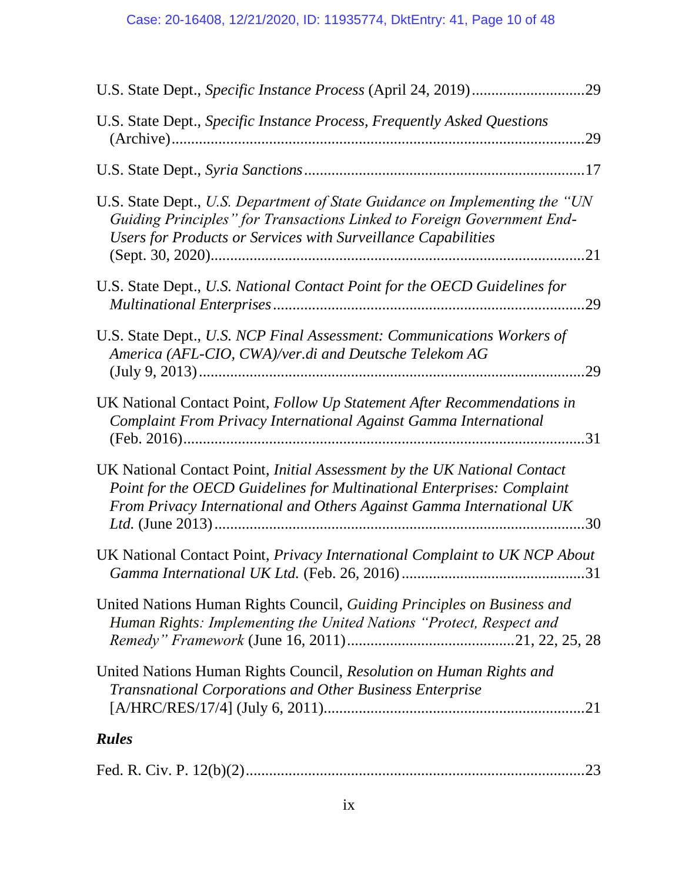| U.S. State Dept., Specific Instance Process, Frequently Asked Questions                                                                                                                                                    | .29 |
|----------------------------------------------------------------------------------------------------------------------------------------------------------------------------------------------------------------------------|-----|
|                                                                                                                                                                                                                            |     |
| U.S. State Dept., U.S. Department of State Guidance on Implementing the "UN<br>Guiding Principles" for Transactions Linked to Foreign Government End-<br>Users for Products or Services with Surveillance Capabilities     |     |
| U.S. State Dept., U.S. National Contact Point for the OECD Guidelines for                                                                                                                                                  | .29 |
| U.S. State Dept., U.S. NCP Final Assessment: Communications Workers of<br>America (AFL-CIO, CWA)/ver.di and Deutsche Telekom AG                                                                                            | 29  |
| UK National Contact Point, Follow Up Statement After Recommendations in<br>Complaint From Privacy International Against Gamma International                                                                                |     |
| UK National Contact Point, Initial Assessment by the UK National Contact<br>Point for the OECD Guidelines for Multinational Enterprises: Complaint<br>From Privacy International and Others Against Gamma International UK |     |
| UK National Contact Point, Privacy International Complaint to UK NCP About                                                                                                                                                 |     |
| United Nations Human Rights Council, Guiding Principles on Business and<br>Human Rights: Implementing the United Nations "Protect, Respect and                                                                             |     |
| United Nations Human Rights Council, Resolution on Human Rights and<br>Transnational Corporations and Other Business Enterprise                                                                                            | .21 |
| <b>Rules</b>                                                                                                                                                                                                               |     |
|                                                                                                                                                                                                                            |     |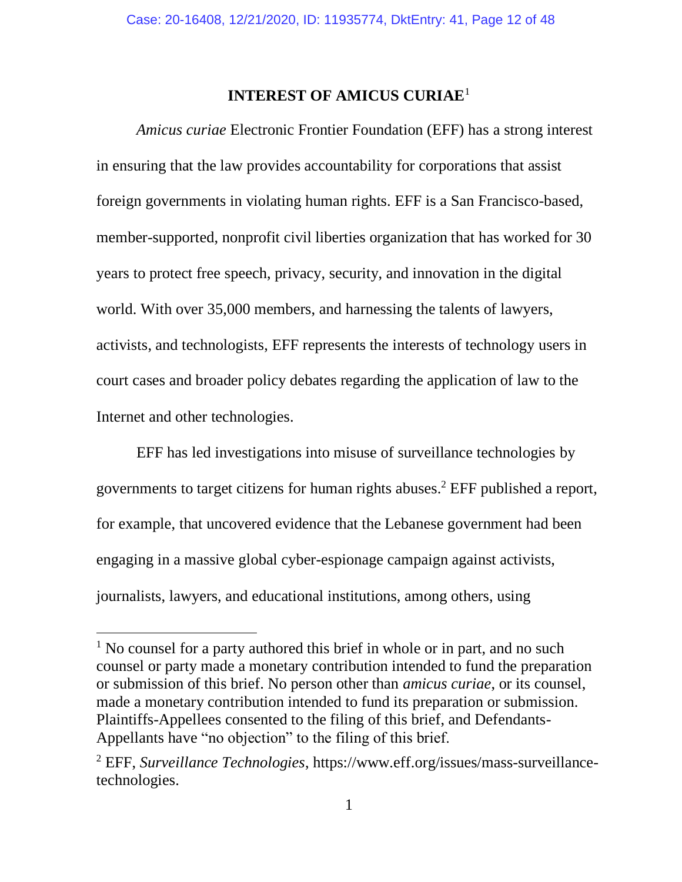## **INTEREST OF AMICUS CURIAE**<sup>1</sup>

*Amicus curiae* Electronic Frontier Foundation (EFF) has a strong interest in ensuring that the law provides accountability for corporations that assist foreign governments in violating human rights. EFF is a San Francisco-based, member-supported, nonprofit civil liberties organization that has worked for 30 years to protect free speech, privacy, security, and innovation in the digital world. With over 35,000 members, and harnessing the talents of lawyers, activists, and technologists, EFF represents the interests of technology users in court cases and broader policy debates regarding the application of law to the Internet and other technologies.

EFF has led investigations into misuse of surveillance technologies by governments to target citizens for human rights abuses.<sup>2</sup> EFF published a report, for example, that uncovered evidence that the Lebanese government had been engaging in a massive global cyber-espionage campaign against activists, journalists, lawyers, and educational institutions, among others, using

 $1$  No counsel for a party authored this brief in whole or in part, and no such counsel or party made a monetary contribution intended to fund the preparation or submission of this brief. No person other than *amicus curiae*, or its counsel, made a monetary contribution intended to fund its preparation or submission. Plaintiffs-Appellees consented to the filing of this brief, and Defendants-Appellants have "no objection" to the filing of this brief.

<sup>2</sup> EFF, *Surveillance Technologies*, https://www.eff.org/issues/mass-surveillancetechnologies.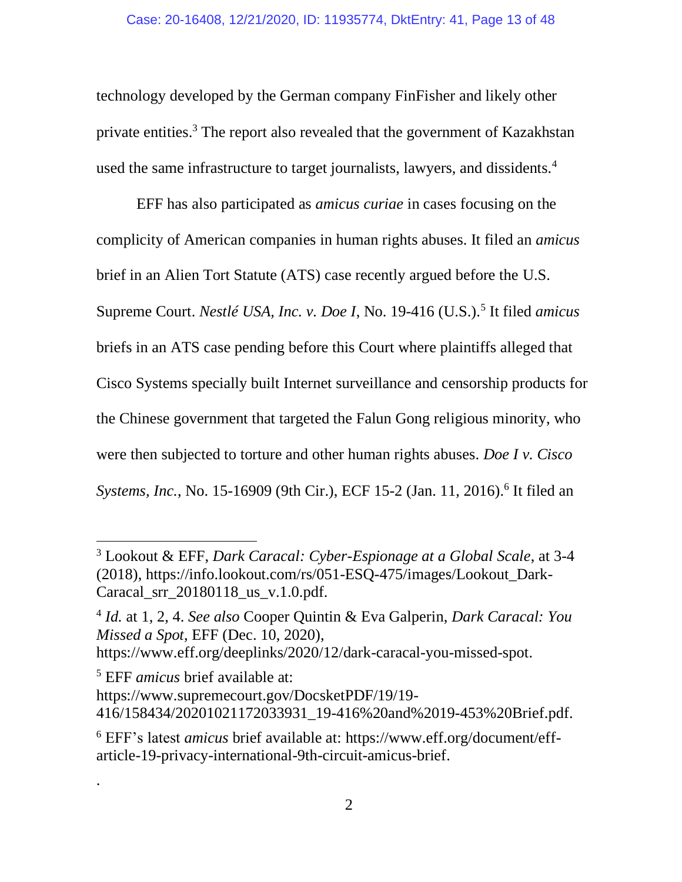technology developed by the German company FinFisher and likely other private entities.<sup>3</sup> The report also revealed that the government of Kazakhstan used the same infrastructure to target journalists, lawyers, and dissidents.<sup>4</sup>

EFF has also participated as *amicus curiae* in cases focusing on the complicity of American companies in human rights abuses. It filed an *amicus* brief in an Alien Tort Statute (ATS) case recently argued before the U.S. Supreme Court. *Nestlé USA, Inc. v. Doe I*, No. 19-416 (U.S.). 5 It filed *amicus* briefs in an ATS case pending before this Court where plaintiffs alleged that Cisco Systems specially built Internet surveillance and censorship products for the Chinese government that targeted the Falun Gong religious minority, who were then subjected to torture and other human rights abuses. *Doe I v. Cisco*  Systems, Inc., No. 15-16909 (9th Cir.), ECF 15-2 (Jan. 11, 2016).<sup>6</sup> It filed an

4 *Id.* at 1, 2, 4. *See also* Cooper Quintin & Eva Galperin, *Dark Caracal: You Missed a Spot*, EFF (Dec. 10, 2020),

[https://www.eff.org/deeplinks/2020/12/dark-caracal-you-missed-spot.](https://www.eff.org/deeplinks/2020/12/dark-caracal-you-missed-spot)

<sup>5</sup> EFF *amicus* brief available at:

.

<sup>3</sup> Lookout & EFF, *Dark Caracal: Cyber-Espionage at a Global Scale*, at 3-4 (2018), https://info.lookout.com/rs/051-ESQ-475/images/Lookout\_Dark-Caracal\_srr\_20180118\_us\_v.1.0.pdf.

[https://www.supremecourt.gov/DocsketPDF/19/19-](https://www.supremecourt.gov/DocsketPDF/19/19-416/158434/20201021172033931_19-416%20and%2019-453%20Brief.pdf) [416/158434/20201021172033931\\_19-416%20and%2019-453%20Brief.pdf.](https://www.supremecourt.gov/DocsketPDF/19/19-416/158434/20201021172033931_19-416%20and%2019-453%20Brief.pdf)

<sup>6</sup> EFF's latest *amicus* brief available at: [https://www.eff.org/document/eff](https://www.eff.org/document/eff-article-19-privacy-international-9th-circuit-amicus-brief)[article-19-privacy-international-9th-circuit-amicus-brief.](https://www.eff.org/document/eff-article-19-privacy-international-9th-circuit-amicus-brief)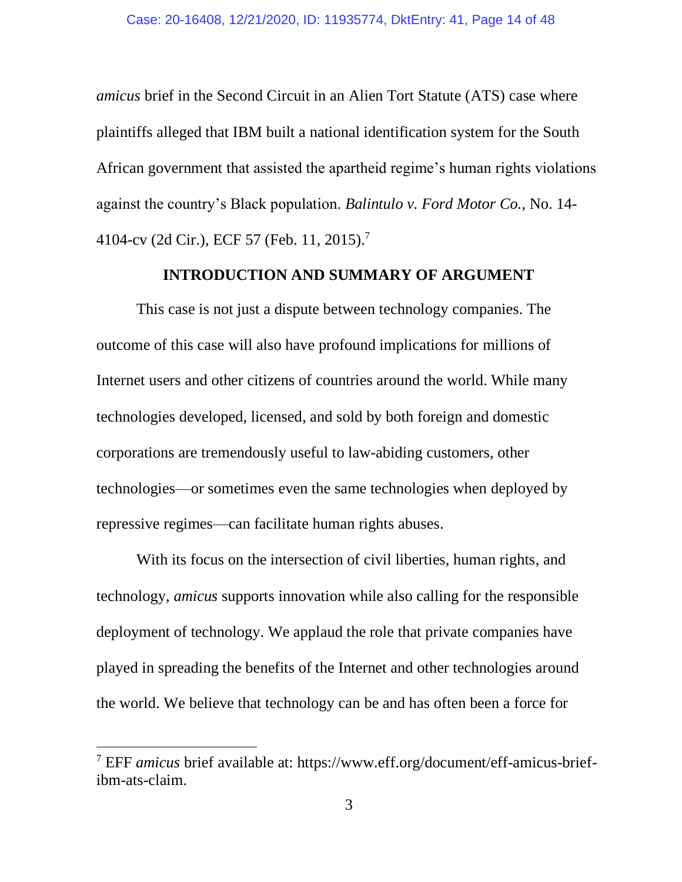*amicus* brief in the Second Circuit in an Alien Tort Statute (ATS) case where plaintiffs alleged that IBM built a national identification system for the South African government that assisted the apartheid regime's human rights violations against the country's Black population. *Balintulo v. Ford Motor Co.*, No. 14- 4104-cv (2d Cir.), ECF 57 (Feb. 11, 2015). 7

#### **INTRODUCTION AND SUMMARY OF ARGUMENT**

This case is not just a dispute between technology companies. The outcome of this case will also have profound implications for millions of Internet users and other citizens of countries around the world. While many technologies developed, licensed, and sold by both foreign and domestic corporations are tremendously useful to law-abiding customers, other technologies—or sometimes even the same technologies when deployed by repressive regimes—can facilitate human rights abuses.

With its focus on the intersection of civil liberties, human rights, and technology, *amicus* supports innovation while also calling for the responsible deployment of technology. We applaud the role that private companies have played in spreading the benefits of the Internet and other technologies around the world. We believe that technology can be and has often been a force for

<sup>7</sup> EFF *amicus* brief available at: https://www.eff.org/document/eff-amicus-briefibm-ats-claim.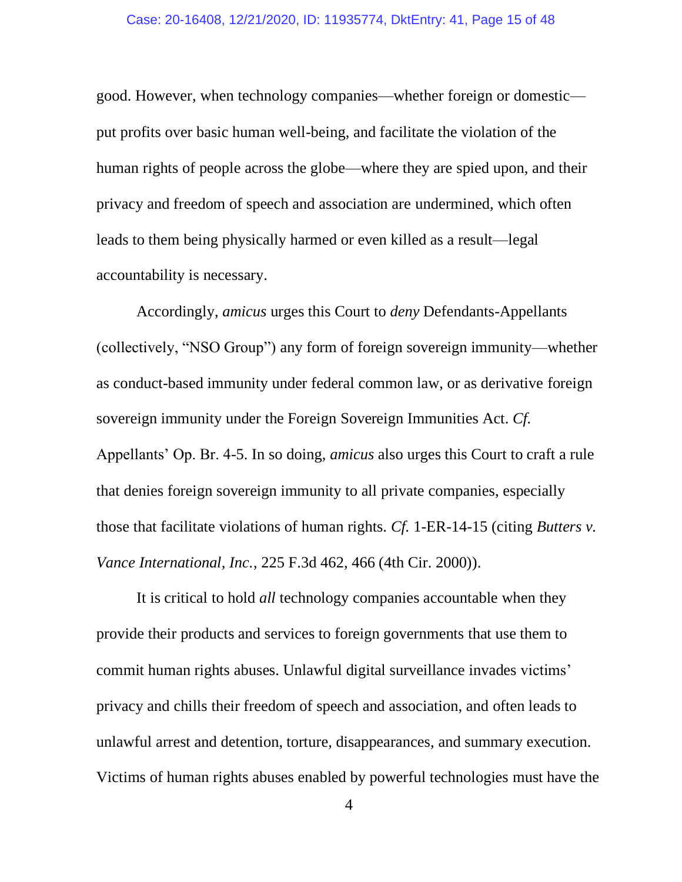good. However, when technology companies—whether foreign or domestic put profits over basic human well-being, and facilitate the violation of the human rights of people across the globe—where they are spied upon, and their privacy and freedom of speech and association are undermined, which often leads to them being physically harmed or even killed as a result—legal accountability is necessary.

Accordingly, *amicus* urges this Court to *deny* Defendants-Appellants (collectively, "NSO Group") any form of foreign sovereign immunity—whether as conduct-based immunity under federal common law, or as derivative foreign sovereign immunity under the Foreign Sovereign Immunities Act. *Cf.* Appellants' Op. Br. 4-5. In so doing, *amicus* also urges this Court to craft a rule that denies foreign sovereign immunity to all private companies, especially those that facilitate violations of human rights. *Cf.* 1-ER-14-15 (citing *Butters v. Vance International, Inc.*, 225 F.3d 462, 466 (4th Cir. 2000)).

It is critical to hold *all* technology companies accountable when they provide their products and services to foreign governments that use them to commit human rights abuses. Unlawful digital surveillance invades victims' privacy and chills their freedom of speech and association, and often leads to unlawful arrest and detention, torture, disappearances, and summary execution. Victims of human rights abuses enabled by powerful technologies must have the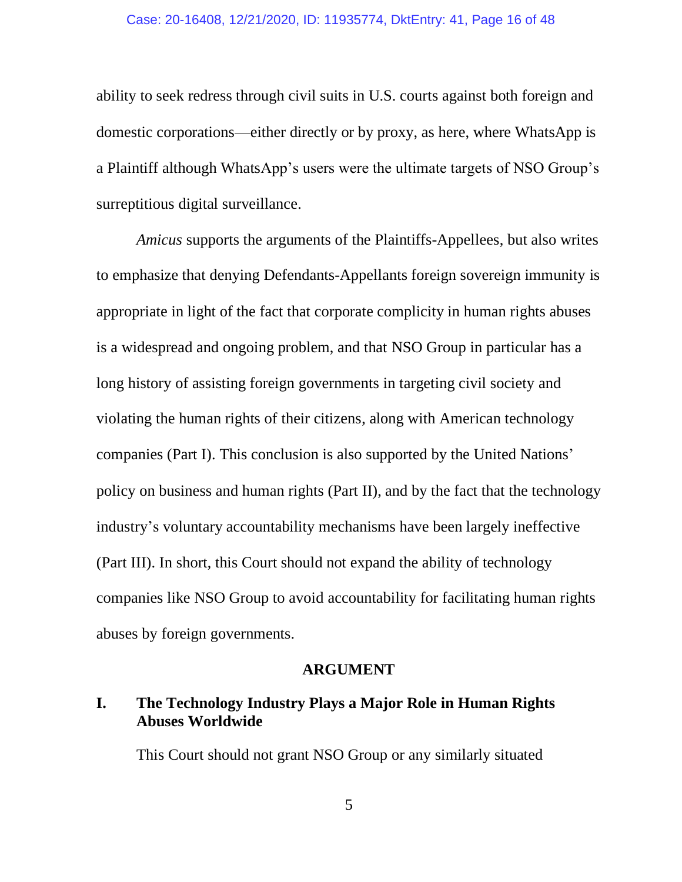ability to seek redress through civil suits in U.S. courts against both foreign and domestic corporations—either directly or by proxy, as here, where WhatsApp is a Plaintiff although WhatsApp's users were the ultimate targets of NSO Group's surreptitious digital surveillance.

*Amicus* supports the arguments of the Plaintiffs-Appellees, but also writes to emphasize that denying Defendants-Appellants foreign sovereign immunity is appropriate in light of the fact that corporate complicity in human rights abuses is a widespread and ongoing problem, and that NSO Group in particular has a long history of assisting foreign governments in targeting civil society and violating the human rights of their citizens, along with American technology companies (Part I). This conclusion is also supported by the United Nations' policy on business and human rights (Part II), and by the fact that the technology industry's voluntary accountability mechanisms have been largely ineffective (Part III). In short, this Court should not expand the ability of technology companies like NSO Group to avoid accountability for facilitating human rights abuses by foreign governments.

#### **ARGUMENT**

### **I. The Technology Industry Plays a Major Role in Human Rights Abuses Worldwide**

This Court should not grant NSO Group or any similarly situated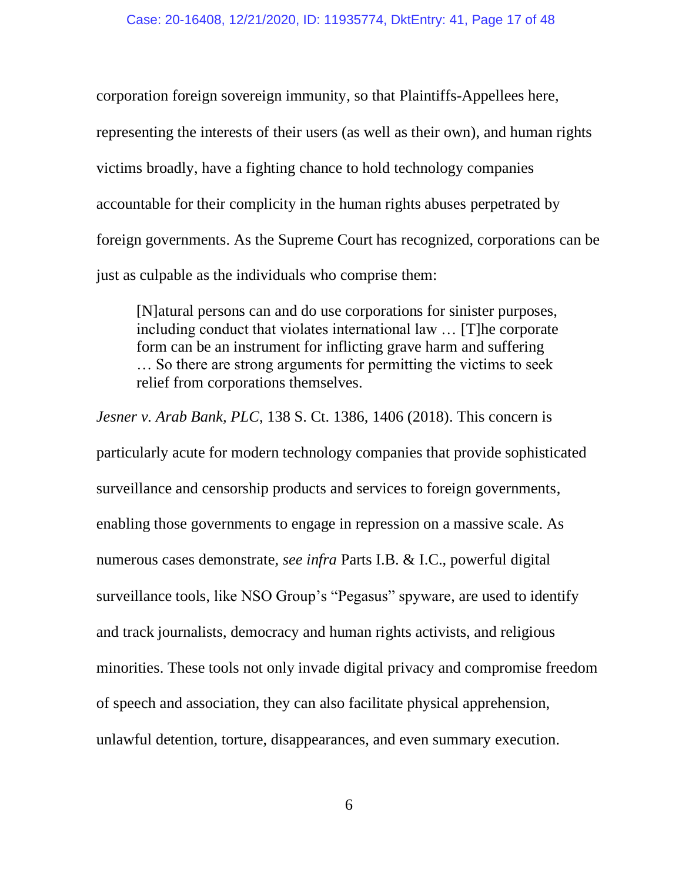corporation foreign sovereign immunity, so that Plaintiffs-Appellees here, representing the interests of their users (as well as their own), and human rights victims broadly, have a fighting chance to hold technology companies accountable for their complicity in the human rights abuses perpetrated by foreign governments. As the Supreme Court has recognized, corporations can be just as culpable as the individuals who comprise them:

[N]atural persons can and do use corporations for sinister purposes, including conduct that violates international law … [T]he corporate form can be an instrument for inflicting grave harm and suffering … So there are strong arguments for permitting the victims to seek relief from corporations themselves.

*Jesner v. Arab Bank, PLC*, 138 S. Ct. 1386, 1406 (2018). This concern is particularly acute for modern technology companies that provide sophisticated surveillance and censorship products and services to foreign governments, enabling those governments to engage in repression on a massive scale. As numerous cases demonstrate, *see infra* Parts I.B. & I.C., powerful digital surveillance tools, like NSO Group's "Pegasus" spyware, are used to identify and track journalists, democracy and human rights activists, and religious minorities. These tools not only invade digital privacy and compromise freedom of speech and association, they can also facilitate physical apprehension, unlawful detention, torture, disappearances, and even summary execution.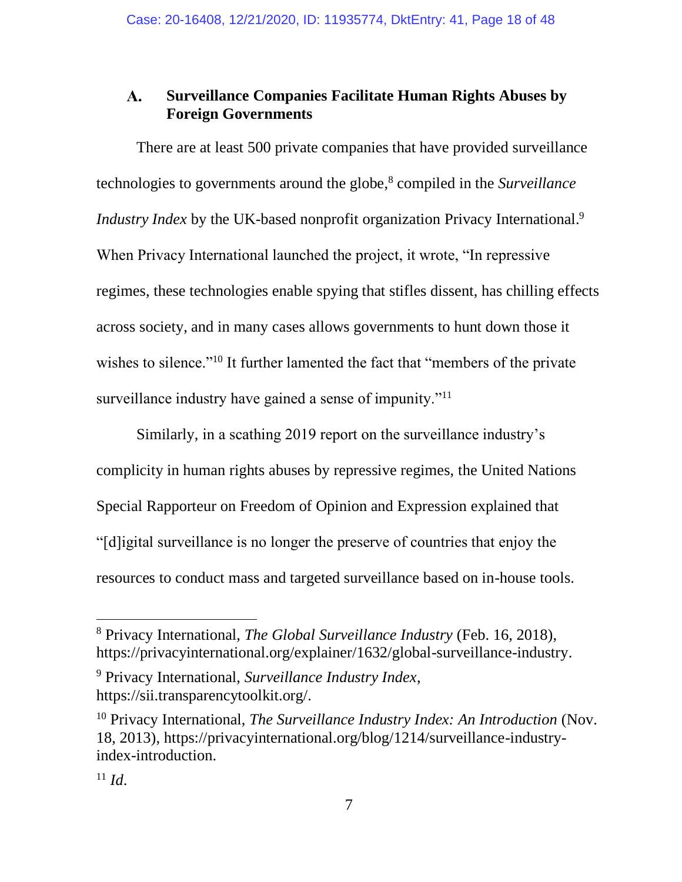#### $\mathbf{A}$ . **Surveillance Companies Facilitate Human Rights Abuses by Foreign Governments**

There are at least 500 private companies that have provided surveillance technologies to governments around the globe, 8 compiled in the *Surveillance Industry Index* by the UK-based nonprofit organization Privacy International.<sup>9</sup> When Privacy International launched the project, it wrote, "In repressive regimes, these technologies enable spying that stifles dissent, has chilling effects across society, and in many cases allows governments to hunt down those it wishes to silence."<sup>10</sup> It further lamented the fact that "members of the private" surveillance industry have gained a sense of impunity."<sup>11</sup>

Similarly, in a scathing 2019 report on the surveillance industry's complicity in human rights abuses by repressive regimes, the United Nations Special Rapporteur on Freedom of Opinion and Expression explained that "[d]igital surveillance is no longer the preserve of countries that enjoy the resources to conduct mass and targeted surveillance based on in-house tools.

<sup>8</sup> Privacy International, *The Global Surveillance Industry* (Feb. 16, 2018), https://privacyinternational.org/explainer/1632/global-surveillance-industry.

<sup>9</sup> Privacy International, *Surveillance Industry Index*, https://sii.transparencytoolkit.org/.

<sup>10</sup> Privacy International, *The Surveillance Industry Index: An Introduction* (Nov. 18, 2013), https://privacyinternational.org/blog/1214/surveillance-industryindex-introduction.

 $11 \, Id.$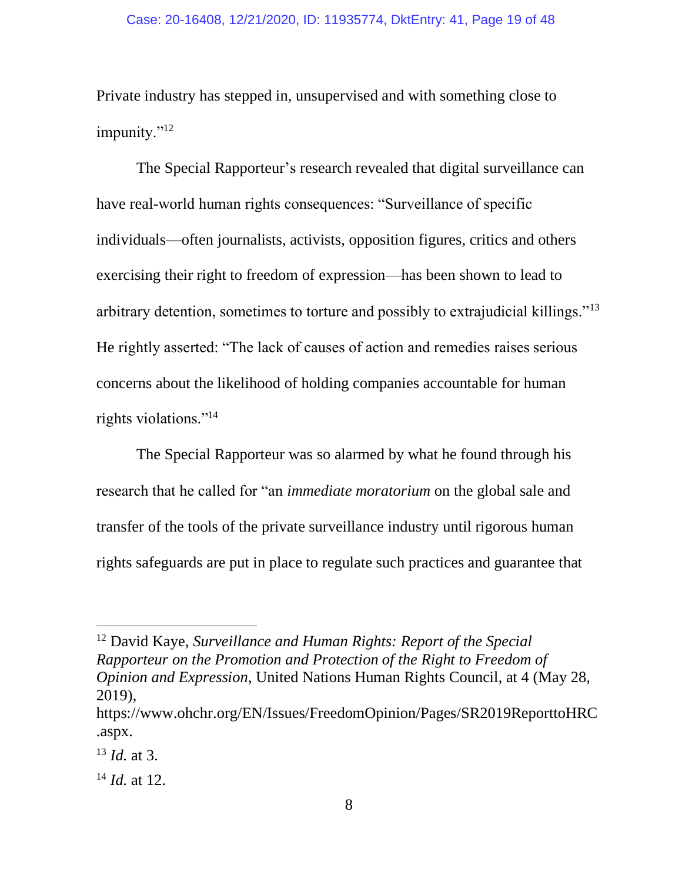Private industry has stepped in, unsupervised and with something close to impunity."<sup>12</sup>

The Special Rapporteur's research revealed that digital surveillance can have real-world human rights consequences: "Surveillance of specific individuals—often journalists, activists, opposition figures, critics and others exercising their right to freedom of expression—has been shown to lead to arbitrary detention, sometimes to torture and possibly to extrajudicial killings."<sup>13</sup> He rightly asserted: "The lack of causes of action and remedies raises serious concerns about the likelihood of holding companies accountable for human rights violations."<sup>14</sup>

The Special Rapporteur was so alarmed by what he found through his research that he called for "an *immediate moratorium* on the global sale and transfer of the tools of the private surveillance industry until rigorous human rights safeguards are put in place to regulate such practices and guarantee that

<sup>12</sup> David Kaye, *Surveillance and Human Rights: Report of the Special Rapporteur on the Promotion and Protection of the Right to Freedom of Opinion and Expression*, United Nations Human Rights Council, at 4 (May 28, 2019),

[https://www.ohchr.org/EN/Issues/FreedomOpinion/Pages/SR2019ReporttoHRC](https://www.ohchr.org/EN/Issues/FreedomOpinion/Pages/SR2019ReporttoHRC.aspx) [.aspx.](https://www.ohchr.org/EN/Issues/FreedomOpinion/Pages/SR2019ReporttoHRC.aspx)

<sup>13</sup> *Id.* at 3.

<sup>14</sup> *Id.* at 12.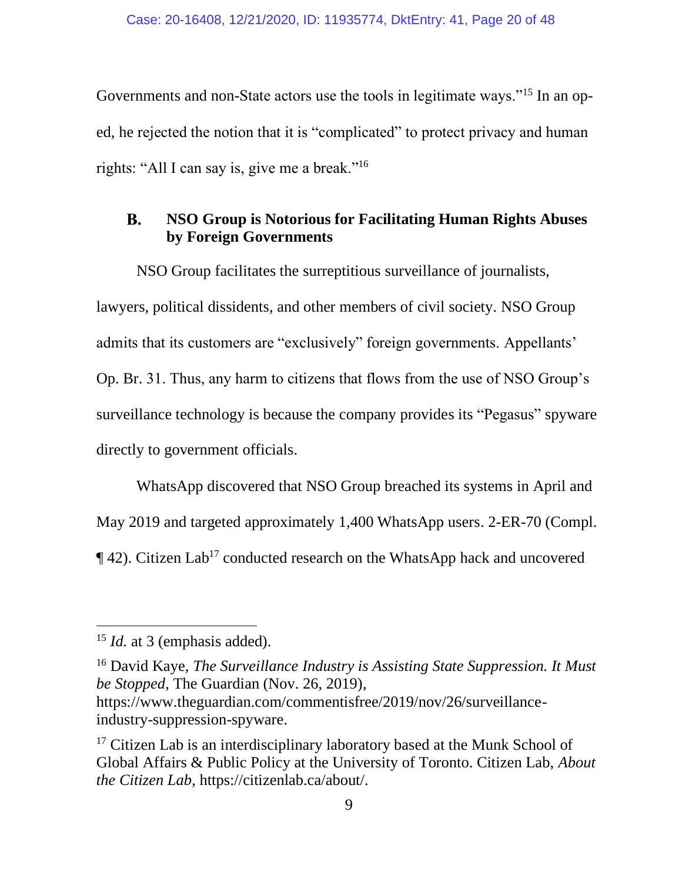Governments and non-State actors use the tools in legitimate ways."<sup>15</sup> In an oped, he rejected the notion that it is "complicated" to protect privacy and human rights: "All I can say is, give me a break."<sup>16</sup>

#### **NSO Group is Notorious for Facilitating Human Rights Abuses B. by Foreign Governments**

NSO Group facilitates the surreptitious surveillance of journalists, lawyers, political dissidents, and other members of civil society. NSO Group admits that its customers are "exclusively" foreign governments. Appellants' Op. Br. 31. Thus, any harm to citizens that flows from the use of NSO Group's surveillance technology is because the company provides its "Pegasus" spyware directly to government officials.

WhatsApp discovered that NSO Group breached its systems in April and May 2019 and targeted approximately 1,400 WhatsApp users. 2-ER-70 (Compl.  $\P$ 42). Citizen Lab<sup>17</sup> conducted research on the WhatsApp hack and uncovered

<sup>16</sup> David Kaye, *The Surveillance Industry is Assisting State Suppression. It Must be Stopped*, The Guardian (Nov. 26, 2019), https://www.theguardian.com/commentisfree/2019/nov/26/surveillanceindustry-suppression-spyware.

<sup>&</sup>lt;sup>15</sup> *Id.* at 3 (emphasis added).

<sup>&</sup>lt;sup>17</sup> Citizen Lab is an interdisciplinary laboratory based at the Munk School of Global Affairs & Public Policy at the University of Toronto. Citizen Lab, *About the Citizen Lab*, https://citizenlab.ca/about/.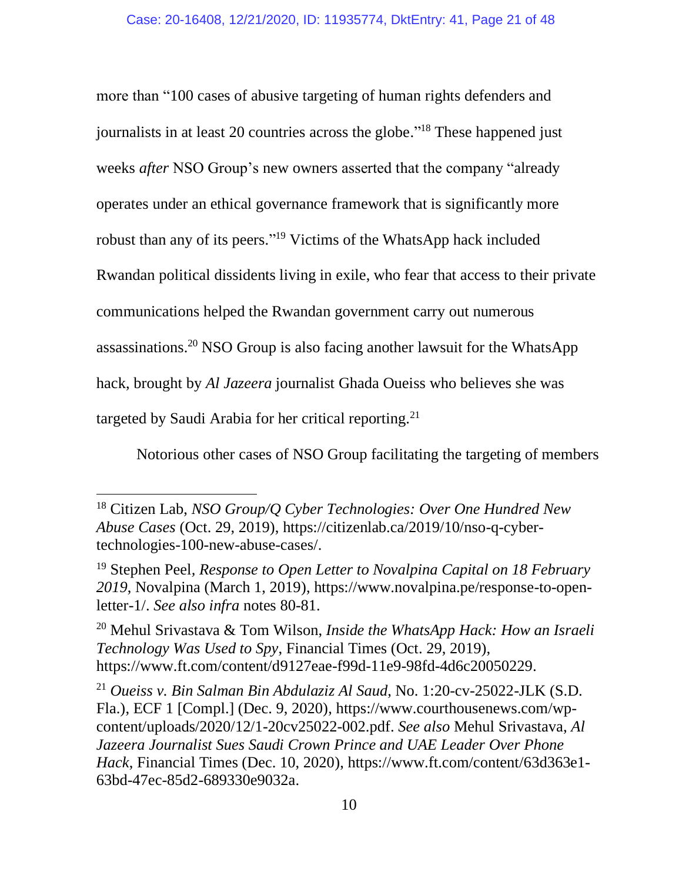more than "100 cases of abusive targeting of human rights defenders and journalists in at least 20 countries across the globe."<sup>18</sup> These happened just weeks *after* NSO Group's new owners asserted that the company "already operates under an ethical governance framework that is significantly more robust than any of its peers." <sup>19</sup> Victims of the WhatsApp hack included Rwandan political dissidents living in exile, who fear that access to their private communications helped the Rwandan government carry out numerous assassinations.<sup>20</sup> NSO Group is also facing another lawsuit for the WhatsApp hack, brought by *Al Jazeera* journalist Ghada Oueiss who believes she was targeted by Saudi Arabia for her critical reporting.<sup>21</sup>

Notorious other cases of NSO Group facilitating the targeting of members

<sup>18</sup> Citizen Lab, *NSO Group/Q Cyber Technologies: Over One Hundred New Abuse Cases* (Oct. 29, 2019), [https://citizenlab.ca/2019/10/nso-q-cyber](https://citizenlab.ca/2019/10/nso-q-cyber-technologies-100-new-abuse-cases/)[technologies-100-new-abuse-cases/.](https://citizenlab.ca/2019/10/nso-q-cyber-technologies-100-new-abuse-cases/)

<sup>19</sup> Stephen Peel*, Response to Open Letter to Novalpina Capital on 18 February 2019*, Novalpina (March 1, 2019), [https://www.novalpina.pe/response-to-open](https://www.novalpina.pe/response-to-open-letter-1/)[letter-1/.](https://www.novalpina.pe/response-to-open-letter-1/) *See also infra* notes 80-81.

<sup>20</sup> Mehul Srivastava & Tom Wilson, *Inside the WhatsApp Hack: How an Israeli Technology Was Used to Spy*, Financial Times (Oct. 29, 2019), [https://www.ft.com/content/d9127eae-f99d-11e9-98fd-4d6c20050229.](https://www.ft.com/content/d9127eae-f99d-11e9-98fd-4d6c20050229)

<sup>21</sup> *Oueiss v. Bin Salman Bin Abdulaziz Al Saud*, No. 1:20-cv-25022-JLK (S.D. Fla.), ECF 1 [Compl.] (Dec. 9, 2020), [https://www.courthousenews.com/wp](https://www.courthousenews.com/wp-content/uploads/2020/12/1-20cv25022-002.pdf)[content/uploads/2020/12/1-20cv25022-002.pdf.](https://www.courthousenews.com/wp-content/uploads/2020/12/1-20cv25022-002.pdf) *See also* Mehul Srivastava, *Al Jazeera Journalist Sues Saudi Crown Prince and UAE Leader Over Phone Hack*, Financial Times (Dec. 10, 2020), [https://www.ft.com/content/63d363e1-](https://www.ft.com/content/63d363e1-63bd-47ec-85d2-689330e9032a) [63bd-47ec-85d2-689330e9032a.](https://www.ft.com/content/63d363e1-63bd-47ec-85d2-689330e9032a)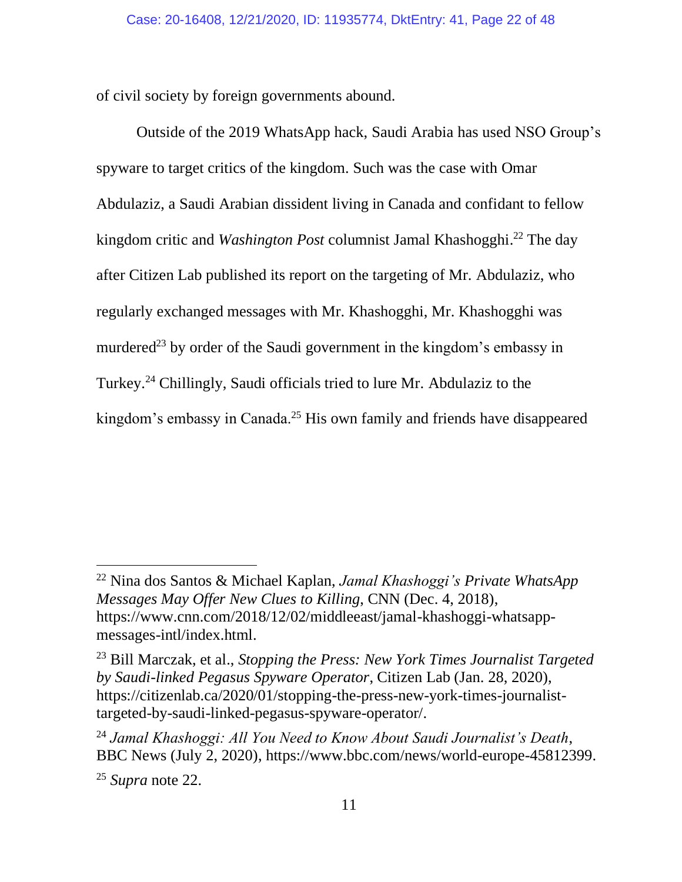of civil society by foreign governments abound.

Outside of the 2019 WhatsApp hack, Saudi Arabia has used NSO Group's spyware to target critics of the kingdom. Such was the case with Omar Abdulaziz, a Saudi Arabian dissident living in Canada and confidant to fellow kingdom critic and *Washington Post* columnist Jamal Khashogghi. <sup>22</sup> The day after Citizen Lab published its report on the targeting of Mr. Abdulaziz, who regularly exchanged messages with Mr. Khashogghi, Mr. Khashogghi was murdered<sup>23</sup> by order of the Saudi government in the kingdom's embassy in Turkey.<sup>24</sup> Chillingly, Saudi officials tried to lure Mr. Abdulaziz to the kingdom's embassy in Canada.<sup>25</sup> His own family and friends have disappeared

<sup>22</sup> Nina dos Santos & Michael Kaplan, *Jamal Khashoggi's Private WhatsApp Messages May Offer New Clues to Killing*, CNN (Dec. 4, 2018), [https://www.cnn.com/2018/12/02/middleeast/jamal-khashoggi-whatsapp](https://www.cnn.com/2018/12/02/middleeast/jamal-khashoggi-whatsapp-messages-intl/index.html)[messages-intl/index.html.](https://www.cnn.com/2018/12/02/middleeast/jamal-khashoggi-whatsapp-messages-intl/index.html)

<sup>23</sup> Bill Marczak, et al., *Stopping the Press: New York Times Journalist Targeted by Saudi-linked Pegasus Spyware Operator*, Citizen Lab (Jan. 28, 2020), [https://citizenlab.ca/2020/01/stopping-the-press-new-york-times-journalist](https://citizenlab.ca/2020/01/stopping-the-press-new-york-times-journalist-targeted-by-saudi-linked-pegasus-spyware-operator/)[targeted-by-saudi-linked-pegasus-spyware-operator/.](https://citizenlab.ca/2020/01/stopping-the-press-new-york-times-journalist-targeted-by-saudi-linked-pegasus-spyware-operator/)

<sup>24</sup> *Jamal Khashoggi: All You Need to Know About Saudi Journalist's Death*, BBC News (July 2, 2020), [https://www.bbc.com/news/world-europe-45812399.](https://www.bbc.com/news/world-europe-45812399)

<sup>25</sup> *Supra* note 22.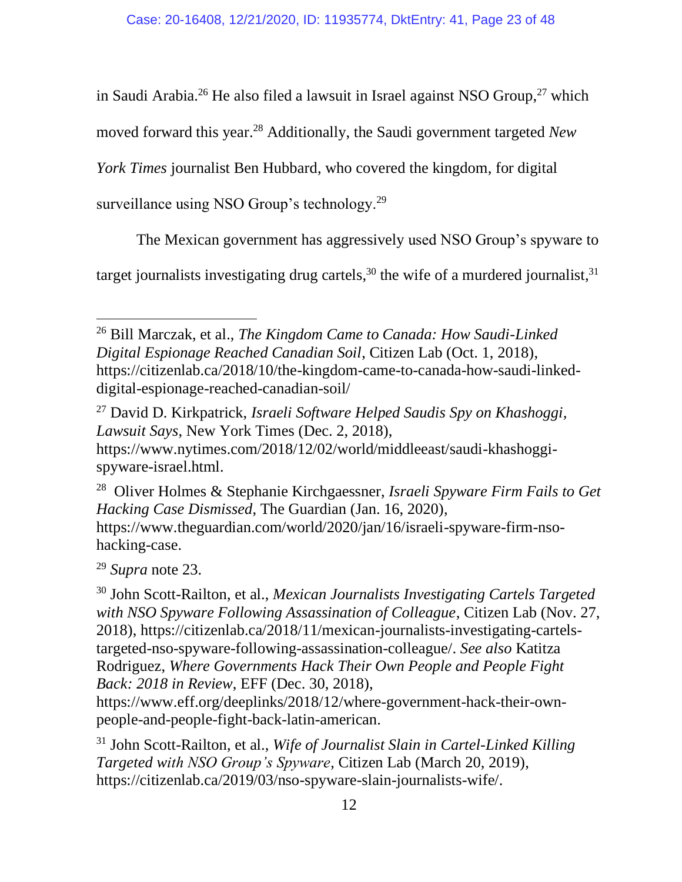in Saudi Arabia.<sup>26</sup> He also filed a lawsuit in Israel against NSO Group,<sup>27</sup> which

moved forward this year.<sup>28</sup> Additionally, the Saudi government targeted *New* 

*York Times* journalist Ben Hubbard, who covered the kingdom, for digital

surveillance using NSO Group's technology.<sup>29</sup>

The Mexican government has aggressively used NSO Group's spyware to

target journalists investigating drug cartels,<sup>30</sup> the wife of a murdered journalist,<sup>31</sup>

<sup>26</sup> Bill Marczak, et al., *The Kingdom Came to Canada: How Saudi-Linked Digital Espionage Reached Canadian Soil*, Citizen Lab (Oct. 1, 2018), [https://citizenlab.ca/2018/10/the-kingdom-came-to-canada-how-saudi-linked](https://citizenlab.ca/2018/10/the-kingdom-came-to-canada-how-saudi-linked-digital-espionage-reached-canadian-soil/)[digital-espionage-reached-canadian-soil/](https://citizenlab.ca/2018/10/the-kingdom-came-to-canada-how-saudi-linked-digital-espionage-reached-canadian-soil/)

<sup>27</sup> David D. Kirkpatrick, *Israeli Software Helped Saudis Spy on Khashoggi, Lawsuit Says*, New York Times (Dec. 2, 2018), [https://www.nytimes.com/2018/12/02/world/middleeast/saudi-khashoggi](https://www.nytimes.com/2018/12/02/world/middleeast/saudi-khashoggi-spyware-israel.html)[spyware-israel.html.](https://www.nytimes.com/2018/12/02/world/middleeast/saudi-khashoggi-spyware-israel.html)

28 Oliver Holmes & Stephanie Kirchgaessner, *Israeli Spyware Firm Fails to Get Hacking Case Dismissed*, The Guardian (Jan. 16, 2020), [https://www.theguardian.com/world/2020/jan/16/israeli-spyware-firm-nso](https://www.theguardian.com/world/2020/jan/16/israeli-spyware-firm-nso-hacking-case)[hacking-case.](https://www.theguardian.com/world/2020/jan/16/israeli-spyware-firm-nso-hacking-case)

<sup>29</sup> *Supra* note 23.

<sup>30</sup> John Scott-Railton, et al., *Mexican Journalists Investigating Cartels Targeted with NSO Spyware Following Assassination of Colleague*, Citizen Lab (Nov. 27, 2018), [https://citizenlab.ca/2018/11/mexican-journalists-investigating-cartels](https://citizenlab.ca/2018/11/mexican-journalists-investigating-cartels-targeted-nso-spyware-following-assassination-colleague/)[targeted-nso-spyware-following-assassination-colleague/.](https://citizenlab.ca/2018/11/mexican-journalists-investigating-cartels-targeted-nso-spyware-following-assassination-colleague/) *See also* Katitza Rodriguez, *Where Governments Hack Their Own People and People Fight Back: 2018 in Review*, EFF (Dec. 30, 2018),

[https://www.eff.org/deeplinks/2018/12/where-government-hack-their-own](https://www.eff.org/deeplinks/2018/12/where-government-hack-their-own-people-and-people-fight-back-latin-american)[people-and-people-fight-back-latin-american.](https://www.eff.org/deeplinks/2018/12/where-government-hack-their-own-people-and-people-fight-back-latin-american)

<sup>31</sup> John Scott-Railton, et al., *Wife of Journalist Slain in Cartel-Linked Killing Targeted with NSO Group's Spyware*, Citizen Lab (March 20, 2019), [https://citizenlab.ca/2019/03/nso-spyware-slain-journalists-wife/.](https://citizenlab.ca/2019/03/nso-spyware-slain-journalists-wife/)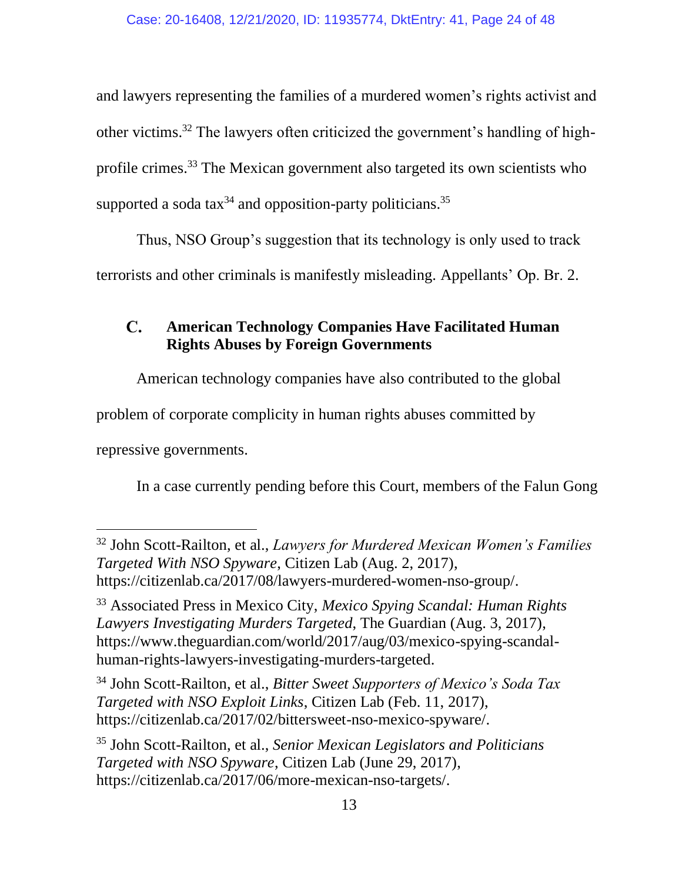and lawyers representing the families of a murdered women's rights activist and other victims. <sup>32</sup> The lawyers often criticized the government's handling of highprofile crimes.<sup>33</sup> The Mexican government also targeted its own scientists who supported a soda tax $34$  and opposition-party politicians.<sup>35</sup>

Thus, NSO Group's suggestion that its technology is only used to track terrorists and other criminals is manifestly misleading. Appellants' Op. Br. 2.

#### $\mathbf{C}$ . **American Technology Companies Have Facilitated Human Rights Abuses by Foreign Governments**

American technology companies have also contributed to the global

problem of corporate complicity in human rights abuses committed by

repressive governments.

In a case currently pending before this Court, members of the Falun Gong

<sup>34</sup> John Scott-Railton, et al., *Bitter Sweet Supporters of Mexico's Soda Tax Targeted with NSO Exploit Links*, Citizen Lab (Feb. 11, 2017), [https://citizenlab.ca/2017/02/bittersweet-nso-mexico-spyware/.](https://citizenlab.ca/2017/02/bittersweet-nso-mexico-spyware/)

<sup>32</sup> John Scott-Railton, et al., *Lawyers for Murdered Mexican Women's Families Targeted With NSO Spyware*, Citizen Lab (Aug. 2, 2017), [https://citizenlab.ca/2017/08/lawyers-murdered-women-nso-group/.](https://citizenlab.ca/2017/08/lawyers-murdered-women-nso-group/)

<sup>33</sup> Associated Press in Mexico City, *Mexico Spying Scandal: Human Rights Lawyers Investigating Murders Targeted*, The Guardian (Aug. 3, 2017), [https://www.theguardian.com/world/2017/aug/03/mexico-spying-scandal](https://www.theguardian.com/world/2017/aug/03/mexico-spying-scandal-human-rights-lawyers-investigating-murders-targeted)[human-rights-lawyers-investigating-murders-targeted.](https://www.theguardian.com/world/2017/aug/03/mexico-spying-scandal-human-rights-lawyers-investigating-murders-targeted)

<sup>35</sup> John Scott-Railton, et al., *Senior Mexican Legislators and Politicians Targeted with NSO Spyware*, Citizen Lab (June 29, 2017), [https://citizenlab.ca/2017/06/more-mexican-nso-targets/.](https://citizenlab.ca/2017/06/more-mexican-nso-targets/)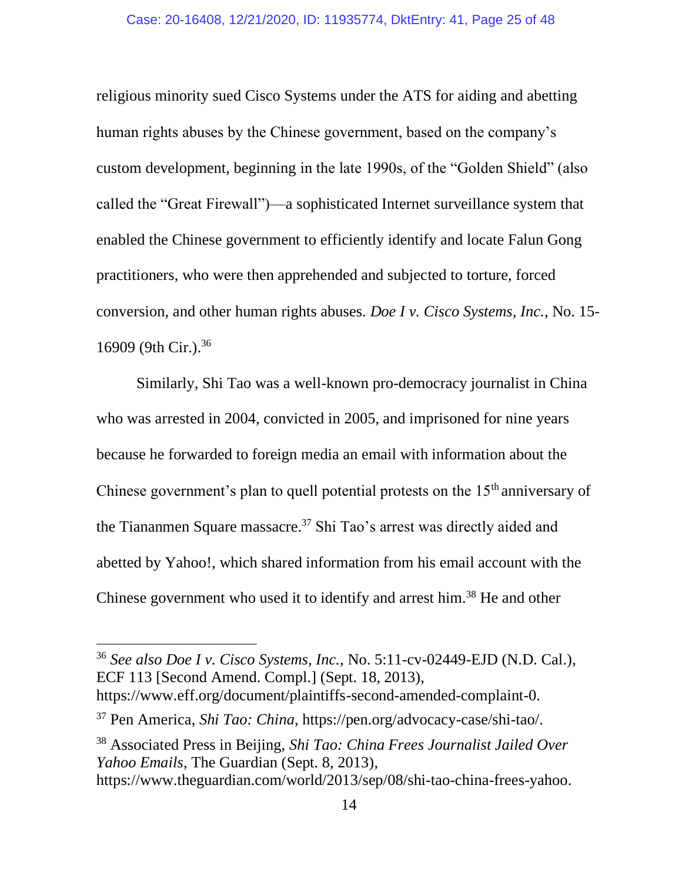religious minority sued Cisco Systems under the ATS for aiding and abetting human rights abuses by the Chinese government, based on the company's custom development, beginning in the late 1990s, of the "Golden Shield" (also called the "Great Firewall")—a sophisticated Internet surveillance system that enabled the Chinese government to efficiently identify and locate Falun Gong practitioners, who were then apprehended and subjected to torture, forced conversion, and other human rights abuses. *Doe I v. Cisco Systems, Inc.*, No. 15- 16909 (9th Cir.). 36

Similarly, Shi Tao was a well-known pro-democracy journalist in China who was arrested in 2004, convicted in 2005, and imprisoned for nine years because he forwarded to foreign media an email with information about the Chinese government's plan to quell potential protests on the  $15<sup>th</sup>$  anniversary of the Tiananmen Square massacre.<sup>37</sup> Shi Tao's arrest was directly aided and abetted by Yahoo!, which shared information from his email account with the Chinese government who used it to identify and arrest him.<sup>38</sup> He and other

<sup>38</sup> Associated Press in Beijing, *Shi Tao: China Frees Journalist Jailed Over Yahoo Emails*, The Guardian (Sept. 8, 2013), https://www.theguardian.com/world/2013/sep/08/shi-tao-china-frees-yahoo.

<sup>36</sup> *See also Doe I v. Cisco Systems, Inc.*, No. 5:11-cv-02449-EJD (N.D. Cal.), ECF 113 [Second Amend. Compl.] (Sept. 18, 2013), https://www.eff.org/document/plaintiffs-second-amended-complaint-0.

<sup>37</sup> Pen America, *Shi Tao: China*, https://pen.org/advocacy-case/shi-tao/.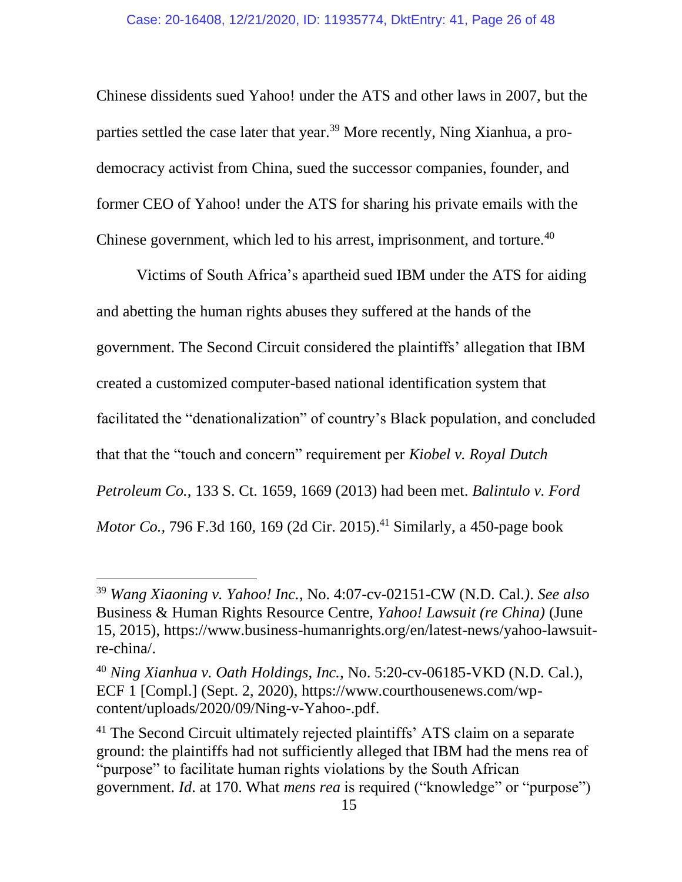Chinese dissidents sued Yahoo! under the ATS and other laws in 2007, but the parties settled the case later that year.<sup>39</sup> More recently, Ning Xianhua, a prodemocracy activist from China, sued the successor companies, founder, and former CEO of Yahoo! under the ATS for sharing his private emails with the Chinese government, which led to his arrest, imprisonment, and torture.<sup>40</sup>

Victims of South Africa's apartheid sued IBM under the ATS for aiding and abetting the human rights abuses they suffered at the hands of the government. The Second Circuit considered the plaintiffs' allegation that IBM created a customized computer-based national identification system that facilitated the "denationalization" of country's Black population, and concluded that that the "touch and concern" requirement per *Kiobel v. Royal Dutch Petroleum Co.*, 133 S. Ct. 1659, 1669 (2013) had been met. *Balintulo v. Ford Motor Co.,* 796 F.3d 160, 169 (2d Cir. 2015). <sup>41</sup> Similarly, a 450-page book

<sup>39</sup> *Wang Xiaoning v. Yahoo! Inc.*, No. 4:07-cv-02151-CW (N.D. Cal*.)*. *See also* Business & Human Rights Resource Centre, *Yahoo! Lawsuit (re China)* (June 15, 2015), https://www.business-humanrights.org/en/latest-news/yahoo-lawsuitre-china/.

<sup>40</sup> *Ning Xianhua v. Oath Holdings, Inc.*, No. 5:20-cv-06185-VKD (N.D. Cal.), ECF 1 [Compl.] (Sept. 2, 2020), https://www.courthousenews.com/wpcontent/uploads/2020/09/Ning-v-Yahoo-.pdf.

<sup>&</sup>lt;sup>41</sup> The Second Circuit ultimately rejected plaintiffs' ATS claim on a separate ground: the plaintiffs had not sufficiently alleged that IBM had the mens rea of "purpose" to facilitate human rights violations by the South African government. *Id*. at 170. What *mens rea* is required ("knowledge" or "purpose")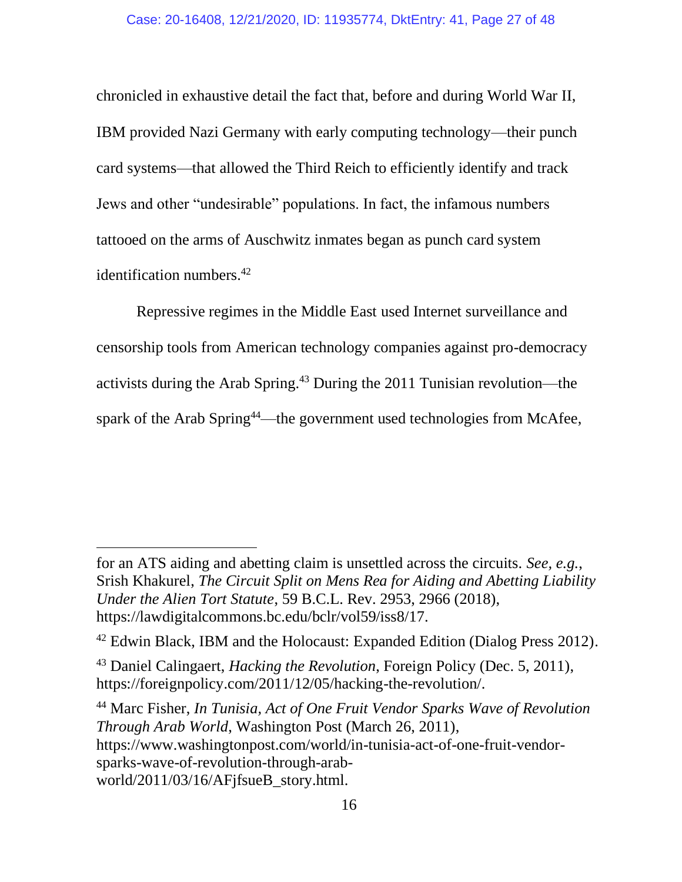chronicled in exhaustive detail the fact that, before and during World War II, IBM provided Nazi Germany with early computing technology—their punch card systems—that allowed the Third Reich to efficiently identify and track Jews and other "undesirable" populations. In fact, the infamous numbers tattooed on the arms of Auschwitz inmates began as punch card system identification numbers.<sup>42</sup>

Repressive regimes in the Middle East used Internet surveillance and censorship tools from American technology companies against pro-democracy activists during the Arab Spring.<sup>43</sup> During the 2011 Tunisian revolution—the spark of the Arab Spring<sup>44</sup>—the government used technologies from McAfee,

<sup>44</sup> Marc Fisher, *In Tunisia, Act of One Fruit Vendor Sparks Wave of Revolution Through Arab World*, Washington Post (March 26, 2011), https://www.washingtonpost.com/world/in-tunisia-act-of-one-fruit-vendorsparks-wave-of-revolution-through-arabworld/2011/03/16/AFjfsueB\_story.html.

for an ATS aiding and abetting claim is unsettled across the circuits. *See, e.g.*, Srish Khakurel, *The Circuit Split on Mens Rea for Aiding and Abetting Liability Under the Alien Tort Statute*, 59 B.C.L. Rev. 2953, 2966 (2018), https://lawdigitalcommons.bc.edu/bclr/vol59/iss8/17.

<sup>&</sup>lt;sup>42</sup> Edwin Black, IBM and the Holocaust: Expanded Edition (Dialog Press 2012).

<sup>43</sup> Daniel Calingaert, *Hacking the Revolution*, Foreign Policy (Dec. 5, 2011), https://foreignpolicy.com/2011/12/05/hacking-the-revolution/.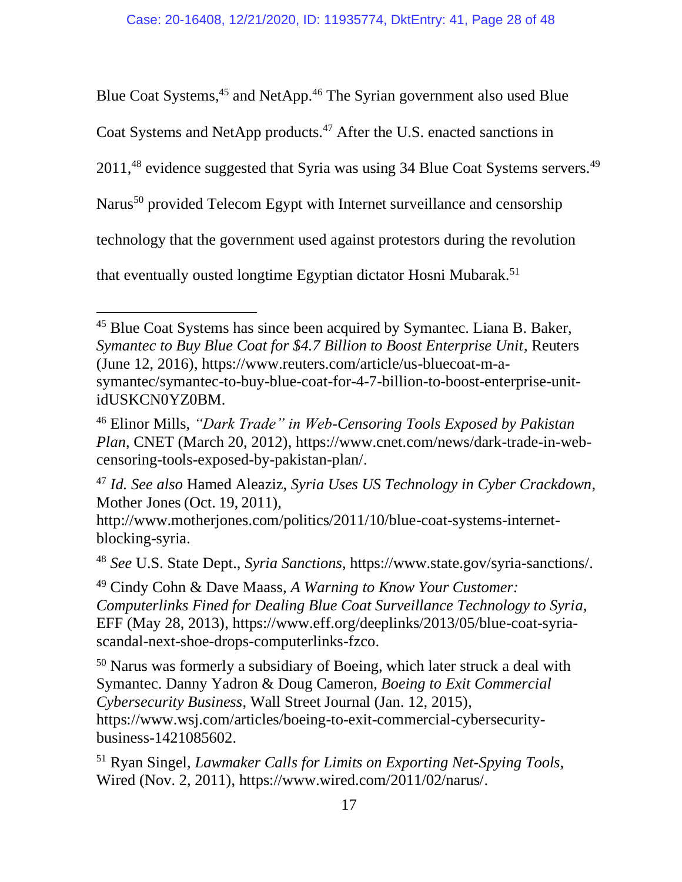Blue Coat Systems,<sup>45</sup> and NetApp.<sup>46</sup> The Syrian government also used Blue

Coat Systems and NetApp products.<sup>47</sup> After the U.S. enacted sanctions in

2011,<sup>48</sup> evidence suggested that Syria was using 34 Blue Coat Systems servers.<sup>49</sup>

Narus<sup>50</sup> provided Telecom Egypt with Internet surveillance and censorship

technology that the government used against protestors during the revolution

that eventually ousted longtime Egyptian dictator Hosni Mubarak.<sup>51</sup>

<sup>&</sup>lt;sup>45</sup> Blue Coat Systems has since been acquired by Symantec. Liana B. Baker, *Symantec to Buy Blue Coat for \$4.7 Billion to Boost Enterprise Unit*, Reuters (June 12, 2016), https://www.reuters.com/article/us-bluecoat-m-asymantec/symantec-to-buy-blue-coat-for-4-7-billion-to-boost-enterprise-unitidUSKCN0YZ0BM.

<sup>46</sup> Elinor Mills, *"Dark Trade" in Web-Censoring Tools Exposed by Pakistan Plan*, CNET (March 20, 2012), https://www.cnet.com/news/dark-trade-in-webcensoring-tools-exposed-by-pakistan-plan/.

<sup>47</sup> *Id. See also* Hamed Aleaziz, *Syria Uses US Technology in Cyber Crackdown*, Mother Jones (Oct. 19, 2011),

http://www.motherjones.com/politics/2011/10/blue-coat-systems-internetblocking-syria.

<sup>48</sup> *See* U.S. State Dept., *Syria Sanctions*, https://www.state.gov/syria-sanctions/.

<sup>49</sup> Cindy Cohn & Dave Maass, *A Warning to Know Your Customer: Computerlinks Fined for Dealing Blue Coat Surveillance Technology to Syria*, EFF (May 28, 2013), https://www.eff.org/deeplinks/2013/05/blue-coat-syriascandal-next-shoe-drops-computerlinks-fzco.

<sup>50</sup> Narus was formerly a subsidiary of Boeing, which later struck a deal with Symantec. Danny Yadron & Doug Cameron, *Boeing to Exit Commercial Cybersecurity Business*, Wall Street Journal (Jan. 12, 2015), https://www.wsj.com/articles/boeing-to-exit-commercial-cybersecuritybusiness-1421085602.

<sup>51</sup> Ryan Singel, *Lawmaker Calls for Limits on Exporting Net-Spying Tools*, Wired (Nov. 2, 2011), https://www.wired.com/2011/02/narus/.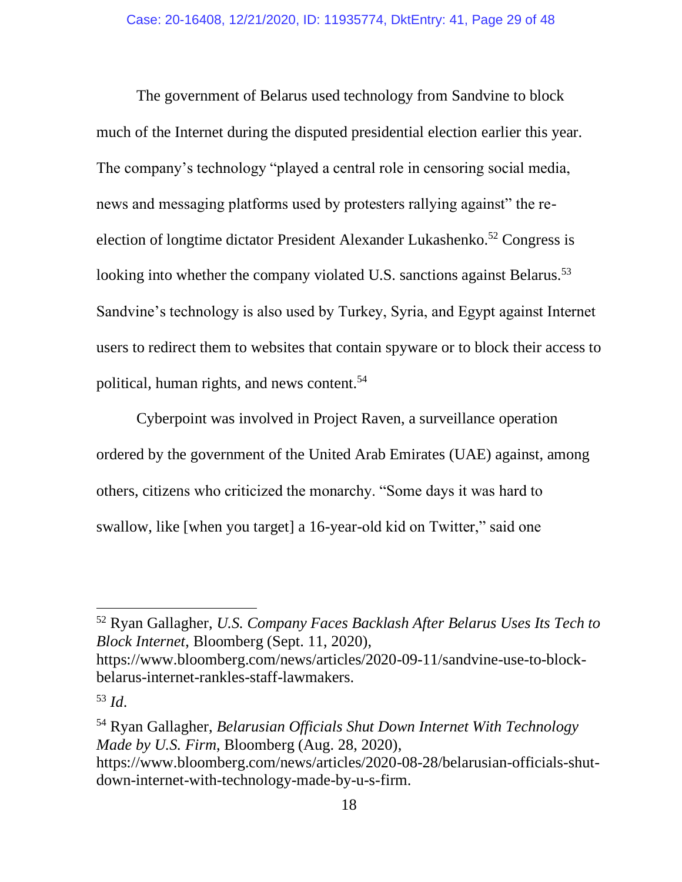The government of Belarus used technology from Sandvine to block much of the Internet during the disputed presidential election earlier this year. The company's technology "played a central role in censoring social media, news and messaging platforms used by protesters rallying against" the reelection of longtime dictator President Alexander Lukashenko.<sup>52</sup> Congress is looking into whether the company violated U.S. sanctions against Belarus.<sup>53</sup> Sandvine's technology is also used by Turkey, Syria, and Egypt against Internet users to redirect them to websites that contain spyware or to block their access to political, human rights, and news content.<sup>54</sup>

Cyberpoint was involved in Project Raven, a surveillance operation ordered by the government of the United Arab Emirates (UAE) against, among others, citizens who criticized the monarchy. "Some days it was hard to swallow, like [when you target] a 16-year-old kid on Twitter," said one

<sup>52</sup> Ryan Gallagher, *U.S. Company Faces Backlash After Belarus Uses Its Tech to Block Internet*, Bloomberg (Sept. 11, 2020),

https://www.bloomberg.com/news/articles/2020-09-11/sandvine-use-to-blockbelarus-internet-rankles-staff-lawmakers.

<sup>53</sup> *Id*.

<sup>54</sup> Ryan Gallagher, *Belarusian Officials Shut Down Internet With Technology Made by U.S. Firm*, Bloomberg (Aug. 28, 2020), https://www.bloomberg.com/news/articles/2020-08-28/belarusian-officials-shutdown-internet-with-technology-made-by-u-s-firm.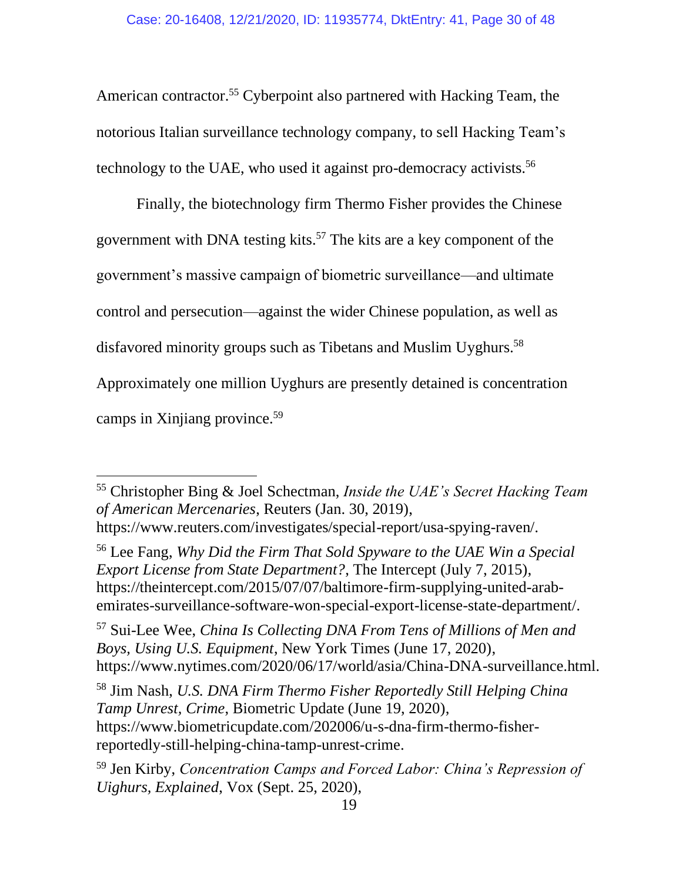American contractor.<sup>55</sup> Cyberpoint also partnered with Hacking Team, the notorious Italian surveillance technology company, to sell Hacking Team's technology to the UAE, who used it against pro-democracy activists.<sup>56</sup>

Finally, the biotechnology firm Thermo Fisher provides the Chinese government with DNA testing kits.<sup>57</sup> The kits are a key component of the government's massive campaign of biometric surveillance—and ultimate control and persecution—against the wider Chinese population, as well as disfavored minority groups such as Tibetans and Muslim Uyghurs.<sup>58</sup>

Approximately one million Uyghurs are presently detained is concentration

camps in Xinjiang province.<sup>59</sup>

<sup>55</sup> Christopher Bing & Joel Schectman, *Inside the UAE's Secret Hacking Team of American Mercenaries*, Reuters (Jan. 30, 2019), https://www.reuters.com/investigates/special-report/usa-spying-raven/.

<sup>56</sup> Lee Fang, *Why Did the Firm That Sold Spyware to the UAE Win a Special Export License from State Department?*, The Intercept (July 7, 2015), https://theintercept.com/2015/07/07/baltimore-firm-supplying-united-arabemirates-surveillance-software-won-special-export-license-state-department/.

<sup>57</sup> Sui-Lee Wee, *China Is Collecting DNA From Tens of Millions of Men and Boys, Using U.S. Equipment*, New York Times (June 17, 2020), https://www.nytimes.com/2020/06/17/world/asia/China-DNA-surveillance.html.

<sup>58</sup> Jim Nash, *U.S. DNA Firm Thermo Fisher Reportedly Still Helping China Tamp Unrest, Crime*, Biometric Update (June 19, 2020), https://www.biometricupdate.com/202006/u-s-dna-firm-thermo-fisherreportedly-still-helping-china-tamp-unrest-crime.

<sup>59</sup> Jen Kirby, *Concentration Camps and Forced Labor: China's Repression of Uighurs, Explained*, Vox (Sept. 25, 2020),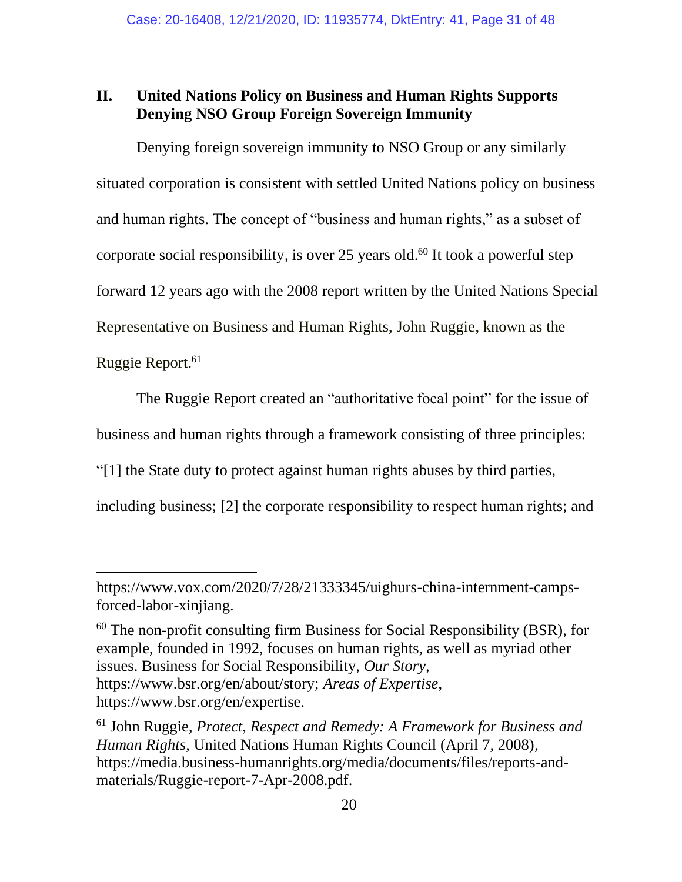#### **II. United Nations Policy on Business and Human Rights Supports Denying NSO Group Foreign Sovereign Immunity**

Denying foreign sovereign immunity to NSO Group or any similarly situated corporation is consistent with settled United Nations policy on business and human rights. The concept of "business and human rights," as a subset of corporate social responsibility, is over 25 years old. <sup>60</sup> It took a powerful step forward 12 years ago with the 2008 report written by the United Nations Special Representative on Business and Human Rights, John Ruggie, known as the Ruggie Report.<sup>61</sup>

The Ruggie Report created an "authoritative focal point" for the issue of business and human rights through a framework consisting of three principles: "[1] the State duty to protect against human rights abuses by third parties, including business; [2] the corporate responsibility to respect human rights; and

 $60$  The non-profit consulting firm Business for Social Responsibility (BSR), for example, founded in 1992, focuses on human rights, as well as myriad other issues. Business for Social Responsibility, *Our Story*, https://www.bsr.org/en/about/story; *Areas of Expertise*, https://www.bsr.org/en/expertise.

https://www.vox.com/2020/7/28/21333345/uighurs-china-internment-campsforced-labor-xinjiang.

<sup>61</sup> John Ruggie, *Protect, Respect and Remedy: A Framework for Business and Human Rights*, United Nations Human Rights Council (April 7, 2008), https://media.business-humanrights.org/media/documents/files/reports-andmaterials/Ruggie-report-7-Apr-2008.pdf.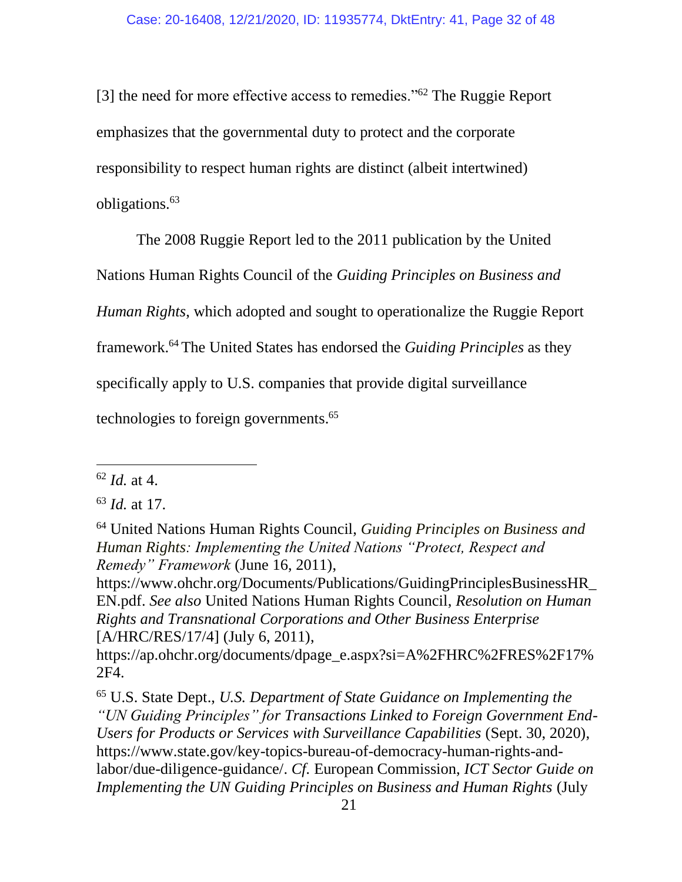[3] the need for more effective access to remedies."<sup>62</sup> The Ruggie Report emphasizes that the governmental duty to protect and the corporate responsibility to respect human rights are distinct (albeit intertwined) obligations.<sup>63</sup>

The 2008 Ruggie Report led to the 2011 publication by the United

Nations Human Rights Council of the *Guiding Principles on Business and* 

*Human Rights*, which adopted and sought to operationalize the Ruggie Report

framework.<sup>64</sup> The United States has endorsed the *Guiding Principles* as they

specifically apply to U.S. companies that provide digital surveillance

technologies to foreign governments. 65

[https://www.ohchr.org/Documents/Publications/GuidingPrinciplesBusinessHR\\_](https://www.ohchr.org/Documents/Publications/GuidingPrinciplesBusinessHR_EN.pdf) [EN.pdf.](https://www.ohchr.org/Documents/Publications/GuidingPrinciplesBusinessHR_EN.pdf) *See also* United Nations Human Rights Council, *Resolution on Human Rights and Transnational Corporations and Other Business Enterprise* [A/HRC/RES/17/4] (July 6, 2011),

[https://ap.ohchr.org/documents/dpage\\_e.aspx?si=A%2FHRC%2FRES%2F17%](https://ap.ohchr.org/documents/dpage_e.aspx?si=A%2FHRC%2FRES%2F17%2F4) [2F4.](https://ap.ohchr.org/documents/dpage_e.aspx?si=A%2FHRC%2FRES%2F17%2F4)

<sup>65</sup> U.S. State Dept., *U.S. Department of State Guidance on Implementing the "UN Guiding Principles" for Transactions Linked to Foreign Government End-Users for Products or Services with Surveillance Capabilities* (Sept. 30, 2020), [https://www.state.gov/key-topics-bureau-of-democracy-human-rights-and](https://www.state.gov/key-topics-bureau-of-democracy-human-rights-and-labor/due-diligence-guidance/)[labor/due-diligence-guidance/.](https://www.state.gov/key-topics-bureau-of-democracy-human-rights-and-labor/due-diligence-guidance/) *Cf.* European Commission, *ICT Sector Guide on Implementing the UN Guiding Principles on Business and Human Rights* (July

<sup>62</sup> *Id.* at 4.

<sup>63</sup> *Id.* at 17.

<sup>64</sup> United Nations Human Rights Council, *Guiding Principles on Business and Human Rights: Implementing the United Nations "Protect, Respect and Remedy" Framework* (June 16, 2011),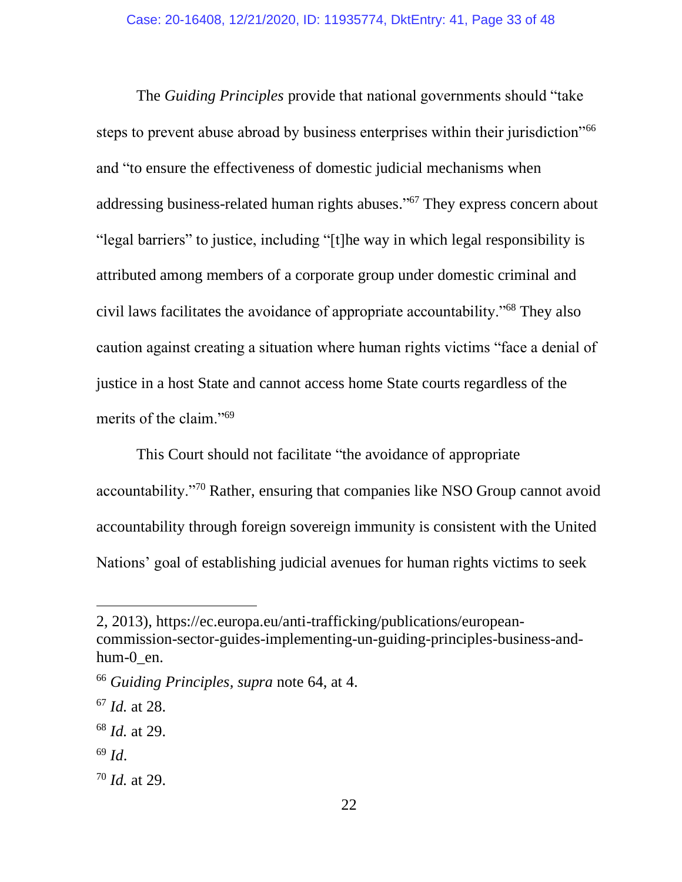The *Guiding Principles* provide that national governments should "take steps to prevent abuse abroad by business enterprises within their jurisdiction"<sup>66</sup> and "to ensure the effectiveness of domestic judicial mechanisms when addressing business-related human rights abuses." <sup>67</sup> They express concern about "legal barriers" to justice, including "[t]he way in which legal responsibility is attributed among members of a corporate group under domestic criminal and civil laws facilitates the avoidance of appropriate accountability."<sup>68</sup> They also caution against creating a situation where human rights victims "face a denial of justice in a host State and cannot access home State courts regardless of the merits of the claim."<sup>69</sup>

This Court should not facilitate "the avoidance of appropriate accountability."<sup>70</sup> Rather, ensuring that companies like NSO Group cannot avoid accountability through foreign sovereign immunity is consistent with the United Nations' goal of establishing judicial avenues for human rights victims to seek

<sup>69</sup> *Id*.

<sup>2, 2013),</sup> https://ec.europa.eu/anti-trafficking/publications/europeancommission-sector-guides-implementing-un-guiding-principles-business-andhum-0\_en.

<sup>66</sup> *Guiding Principles, supra* note 64, at 4.

<sup>67</sup> *Id.* at 28.

<sup>68</sup> *Id.* at 29.

<sup>70</sup> *Id.* at 29.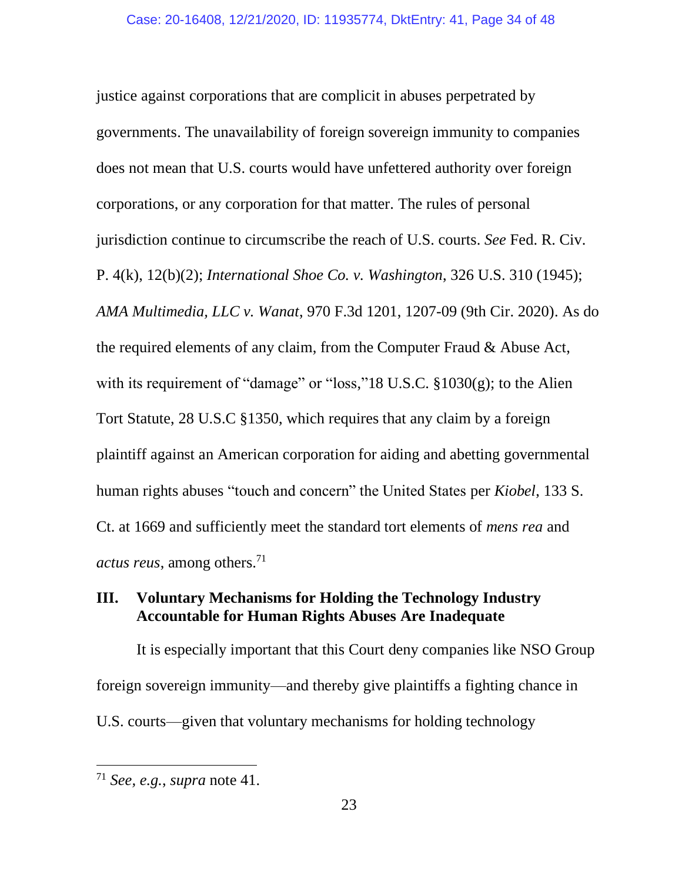justice against corporations that are complicit in abuses perpetrated by governments. The unavailability of foreign sovereign immunity to companies does not mean that U.S. courts would have unfettered authority over foreign corporations, or any corporation for that matter. The rules of personal jurisdiction continue to circumscribe the reach of U.S. courts. *See* Fed. R. Civ. P. 4(k), 12(b)(2); *International Shoe Co. v. Washington*, 326 U.S. 310 (1945); *AMA Multimedia, LLC v. Wanat*, 970 F.3d 1201, 1207-09 (9th Cir. 2020). As do the required elements of any claim, from the Computer Fraud & Abuse Act, with its requirement of "damage" or "loss,"18 U.S.C. §1030(g); to the Alien Tort Statute, 28 U.S.C §1350, which requires that any claim by a foreign plaintiff against an American corporation for aiding and abetting governmental human rights abuses "touch and concern" the United States per *Kiobel*, 133 S. Ct. at 1669 and sufficiently meet the standard tort elements of *mens rea* and *actus reus*, among others.<sup>71</sup>

## **III. Voluntary Mechanisms for Holding the Technology Industry Accountable for Human Rights Abuses Are Inadequate**

It is especially important that this Court deny companies like NSO Group foreign sovereign immunity—and thereby give plaintiffs a fighting chance in U.S. courts—given that voluntary mechanisms for holding technology

<sup>71</sup> *See, e.g.*, *supra* note 41.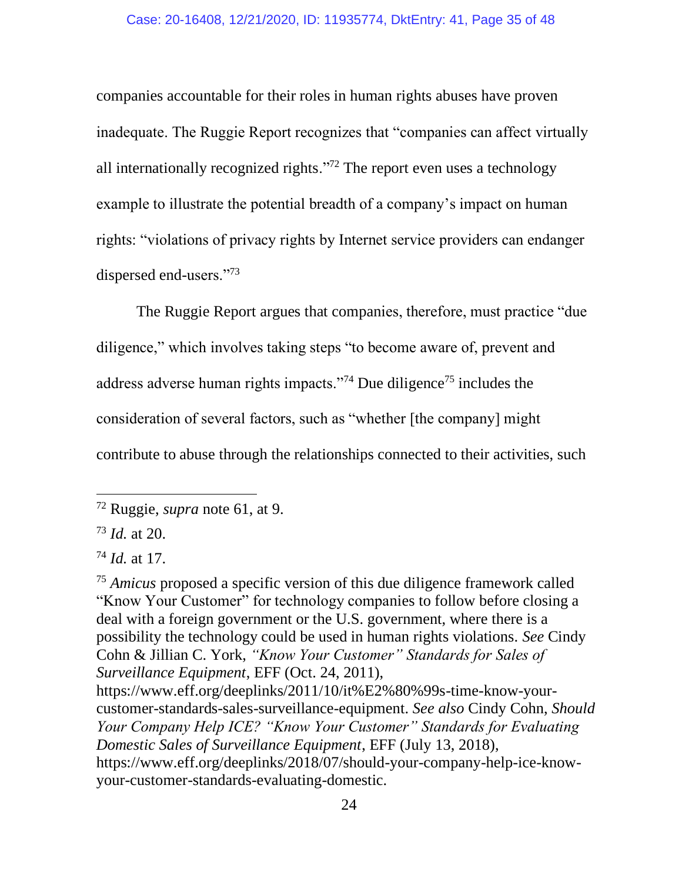companies accountable for their roles in human rights abuses have proven inadequate. The Ruggie Report recognizes that "companies can affect virtually all internationally recognized rights."<sup>72</sup> The report even uses a technology example to illustrate the potential breadth of a company's impact on human rights: "violations of privacy rights by Internet service providers can endanger dispersed end-users."<sup>73</sup>

The Ruggie Report argues that companies, therefore, must practice "due diligence," which involves taking steps "to become aware of, prevent and address adverse human rights impacts."<sup>74</sup> Due diligence<sup>75</sup> includes the consideration of several factors, such as "whether [the company] might contribute to abuse through the relationships connected to their activities, such

<sup>75</sup> *Amicus* proposed a specific version of this due diligence framework called "Know Your Customer" for technology companies to follow before closing a deal with a foreign government or the U.S. government, where there is a possibility the technology could be used in human rights violations. *See* Cindy Cohn & Jillian C. York, *"Know Your Customer" Standards for Sales of Surveillance Equipment*, EFF (Oct. 24, 2011),

[https://www.eff.org/deeplinks/2011/10/it%E2%80%99s-time-know-your](https://www.eff.org/deeplinks/2011/10/it%E2%80%99s-time-know-your-customer-standards-sales-surveillance-equipment)[customer-standards-sales-surveillance-equipment.](https://www.eff.org/deeplinks/2011/10/it%E2%80%99s-time-know-your-customer-standards-sales-surveillance-equipment) *See also* Cindy Cohn, *Should Your Company Help ICE? "Know Your Customer" Standards for Evaluating Domestic Sales of Surveillance Equipment*, EFF (July 13, 2018), https://www.eff.org/deeplinks/2018/07/should-your-company-help-ice-knowyour-customer-standards-evaluating-domestic.

<sup>72</sup> Ruggie, *supra* note 61, at 9.

<sup>73</sup> *Id.* at 20.

<sup>74</sup> *Id.* at 17.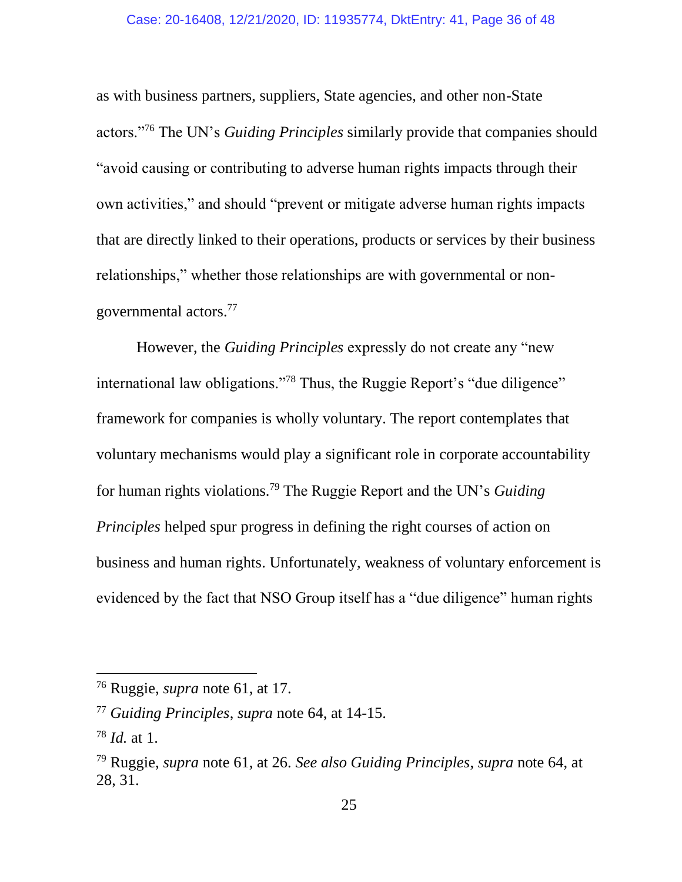as with business partners, suppliers, State agencies, and other non-State actors."<sup>76</sup> The UN's *Guiding Principles* similarly provide that companies should "avoid causing or contributing to adverse human rights impacts through their own activities," and should "prevent or mitigate adverse human rights impacts that are directly linked to their operations, products or services by their business relationships," whether those relationships are with governmental or nongovernmental actors.<sup>77</sup>

However, the *Guiding Principles* expressly do not create any "new international law obligations."<sup>78</sup> Thus, the Ruggie Report's "due diligence" framework for companies is wholly voluntary. The report contemplates that voluntary mechanisms would play a significant role in corporate accountability for human rights violations.<sup>79</sup> The Ruggie Report and the UN's *Guiding Principles* helped spur progress in defining the right courses of action on business and human rights. Unfortunately, weakness of voluntary enforcement is evidenced by the fact that NSO Group itself has a "due diligence" human rights

<sup>76</sup> Ruggie, *supra* note 61, at 17.

<sup>77</sup> *Guiding Principles*, *supra* note 64, at 14-15.

<sup>78</sup> *Id.* at 1.

<sup>79</sup> Ruggie, *supra* note 61, at 26. *See also Guiding Principles*, *supra* note 64, at 28, 31.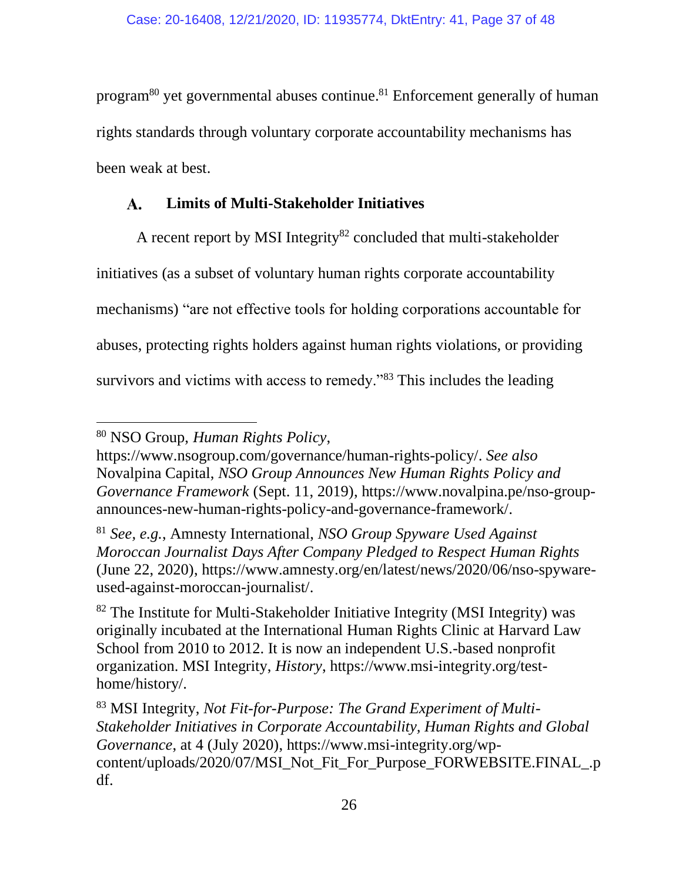program<sup>80</sup> yet governmental abuses continue.<sup>81</sup> Enforcement generally of human rights standards through voluntary corporate accountability mechanisms has been weak at best.

#### **Limits of Multi-Stakeholder Initiatives**  $\mathbf{A}$ .

A recent report by MSI Integrity $82$  concluded that multi-stakeholder initiatives (as a subset of voluntary human rights corporate accountability mechanisms) "are not effective tools for holding corporations accountable for abuses, protecting rights holders against human rights violations, or providing survivors and victims with access to remedy."<sup>83</sup> This includes the leading

<sup>80</sup> NSO Group, *Human Rights Policy*,

[https://www.nsogroup.com/governance/human-rights-policy/.](https://www.nsogroup.com/governance/human-rights-policy/) *See also* Novalpina Capital, *NSO Group Announces New Human Rights Policy and Governance Framework* (Sept. 11, 2019), [https://www.novalpina.pe/nso-group](https://www.novalpina.pe/nso-group-announces-new-human-rights-policy-and-governance-framework/)[announces-new-human-rights-policy-and-governance-framework/.](https://www.novalpina.pe/nso-group-announces-new-human-rights-policy-and-governance-framework/)

<sup>81</sup> *See, e.g.*, Amnesty International, *NSO Group Spyware Used Against Moroccan Journalist Days After Company Pledged to Respect Human Rights* (June 22, 2020), [https://www.amnesty.org/en/latest/news/2020/06/nso-spyware](https://www.amnesty.org/en/latest/news/2020/06/nso-spyware-used-against-moroccan-journalist/)[used-against-moroccan-journalist/.](https://www.amnesty.org/en/latest/news/2020/06/nso-spyware-used-against-moroccan-journalist/)

 $82$  The Institute for Multi-Stakeholder Initiative Integrity (MSI Integrity) was originally incubated at the International Human Rights Clinic at Harvard Law School from 2010 to 2012. It is now an independent U.S.-based nonprofit organization. MSI Integrity, *History*, https://www.msi-integrity.org/testhome/history/.

<sup>83</sup> MSI Integrity, *Not Fit-for-Purpose: The Grand Experiment of Multi-Stakeholder Initiatives in Corporate Accountability, Human Rights and Global Governance*, at 4 (July 2020), https://www.msi-integrity.org/wpcontent/uploads/2020/07/MSI\_Not\_Fit\_For\_Purpose\_FORWEBSITE.FINAL\_.p df.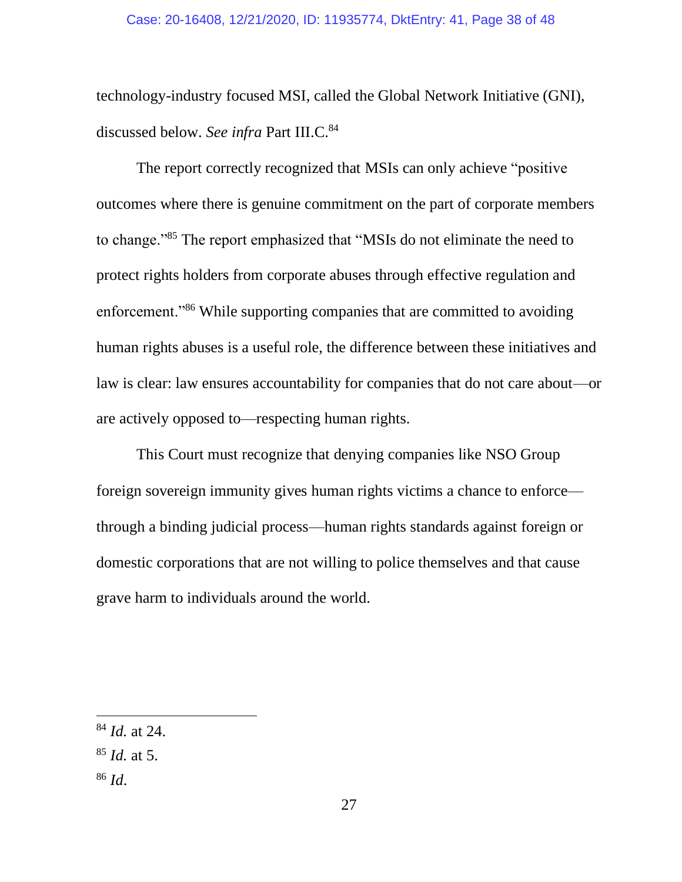technology-industry focused MSI, called the Global Network Initiative (GNI), discussed below. See infra Part III.C.<sup>84</sup>

The report correctly recognized that MSIs can only achieve "positive outcomes where there is genuine commitment on the part of corporate members to change."<sup>85</sup> The report emphasized that "MSIs do not eliminate the need to protect rights holders from corporate abuses through effective regulation and enforcement."<sup>86</sup> While supporting companies that are committed to avoiding human rights abuses is a useful role, the difference between these initiatives and law is clear: law ensures accountability for companies that do not care about—or are actively opposed to—respecting human rights.

This Court must recognize that denying companies like NSO Group foreign sovereign immunity gives human rights victims a chance to enforce through a binding judicial process—human rights standards against foreign or domestic corporations that are not willing to police themselves and that cause grave harm to individuals around the world.

- <sup>85</sup> *Id.* at 5.
- <sup>86</sup> *Id*.

<sup>84</sup> *Id.* at 24.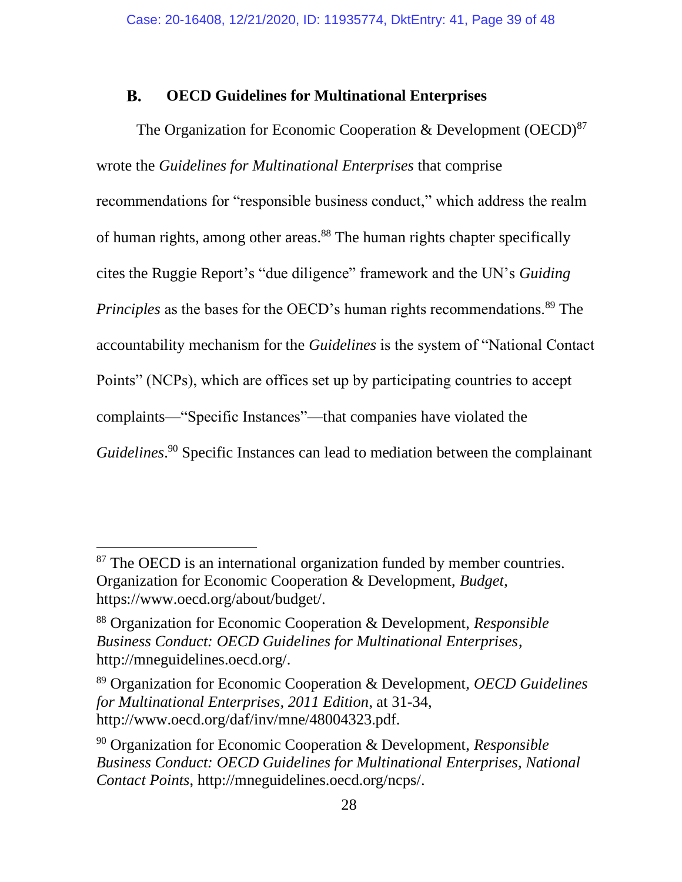#### **OECD Guidelines for Multinational Enterprises B.**

The Organization for Economic Cooperation & Development  $(OECD)^{87}$ wrote the *Guidelines for Multinational Enterprises* that comprise recommendations for "responsible business conduct," which address the realm of human rights, among other areas.<sup>88</sup> The human rights chapter specifically cites the Ruggie Report's "due diligence" framework and the UN's *Guiding Principles* as the bases for the OECD's human rights recommendations.<sup>89</sup> The accountability mechanism for the *Guidelines* is the system of "National Contact Points" (NCPs), which are offices set up by participating countries to accept complaints—"Specific Instances"—that companies have violated the *Guidelines*. <sup>90</sup> Specific Instances can lead to mediation between the complainant

<sup>&</sup>lt;sup>87</sup> The OECD is an international organization funded by member countries. Organization for Economic Cooperation & Development, *Budget*, https://www.oecd.org/about/budget/.

<sup>88</sup> Organization for Economic Cooperation & Development, *Responsible Business Conduct: OECD Guidelines for Multinational Enterprises*, http://mneguidelines.oecd.org/.

<sup>89</sup> Organization for Economic Cooperation & Development, *OECD Guidelines for Multinational Enterprises, 2011 Edition*, at 31-34, http://www.oecd.org/daf/inv/mne/48004323.pdf.

<sup>90</sup> Organization for Economic Cooperation & Development, *Responsible Business Conduct: OECD Guidelines for Multinational Enterprises, National Contact Points*, http://mneguidelines.oecd.org/ncps/.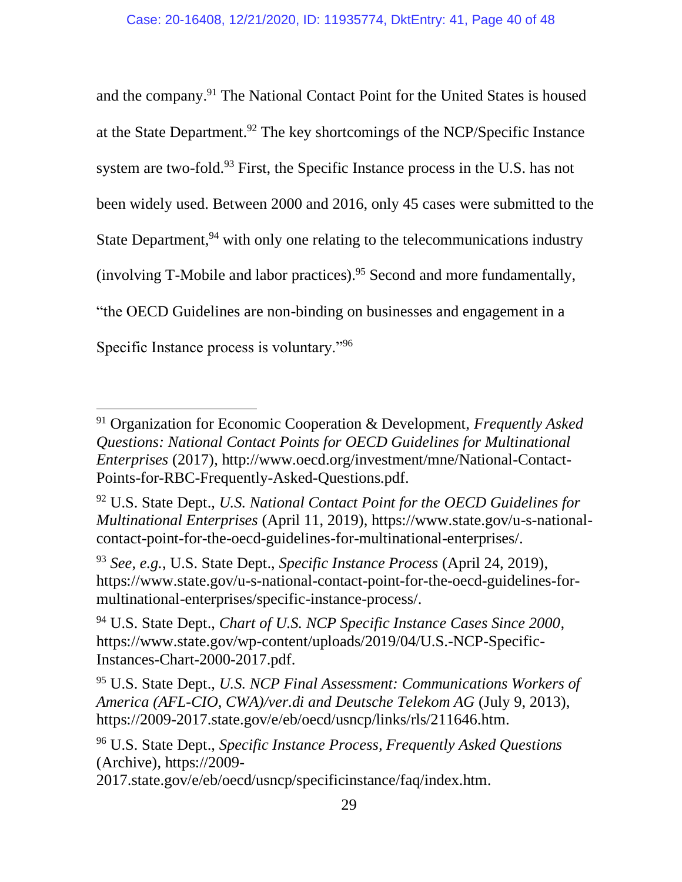and the company.<sup>91</sup> The National Contact Point for the United States is housed at the State Department.<sup>92</sup> The key shortcomings of the NCP/Specific Instance system are two-fold.<sup>93</sup> First, the Specific Instance process in the U.S. has not been widely used. Between 2000 and 2016, only 45 cases were submitted to the State Department,  $94$  with only one relating to the telecommunications industry (involving T-Mobile and labor practices).<sup>95</sup> Second and more fundamentally, "the OECD Guidelines are non-binding on businesses and engagement in a Specific Instance process is voluntary."<sup>96</sup>

<sup>91</sup> Organization for Economic Cooperation & Development, *Frequently Asked Questions: National Contact Points for OECD Guidelines for Multinational Enterprises* (2017), http://www.oecd.org/investment/mne/National-Contact-Points-for-RBC-Frequently-Asked-Questions.pdf.

<sup>92</sup> U.S. State Dept., *U.S. National Contact Point for the OECD Guidelines for Multinational Enterprises* (April 11, 2019), https://www.state.gov/u-s-nationalcontact-point-for-the-oecd-guidelines-for-multinational-enterprises/.

<sup>93</sup> *See, e.g.*, U.S. State Dept., *Specific Instance Process* (April 24, 2019), https://www.state.gov/u-s-national-contact-point-for-the-oecd-guidelines-formultinational-enterprises/specific-instance-process/.

<sup>94</sup> U.S. State Dept., *Chart of U.S. NCP Specific Instance Cases Since 2000*, https://www.state.gov/wp-content/uploads/2019/04/U.S.-NCP-Specific-Instances-Chart-2000-2017.pdf.

<sup>95</sup> U.S. State Dept., *U.S. NCP Final Assessment: Communications Workers of America (AFL-CIO, CWA)/ver.di and Deutsche Telekom AG* (July 9, 2013), https://2009-2017.state.gov/e/eb/oecd/usncp/links/rls/211646.htm.

<sup>96</sup> U.S. State Dept., *Specific Instance Process, Frequently Asked Questions* (Archive), https://2009-

<sup>2017.</sup>state.gov/e/eb/oecd/usncp/specificinstance/faq/index.htm.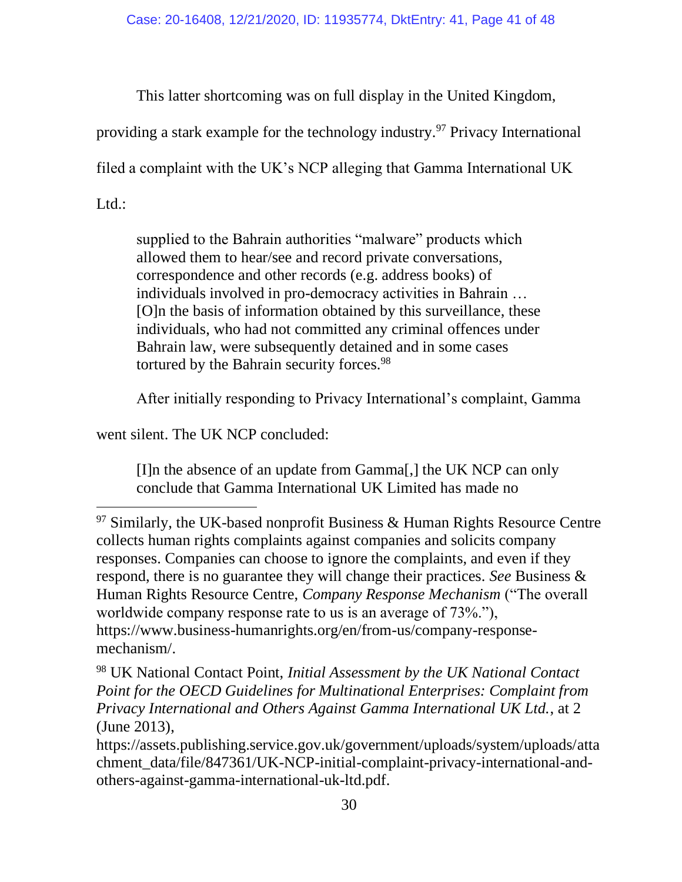This latter shortcoming was on full display in the United Kingdom,

providing a stark example for the technology industry.<sup>97</sup> Privacy International

filed a complaint with the UK's NCP alleging that Gamma International UK

Ltd.:

supplied to the Bahrain authorities "malware" products which allowed them to hear/see and record private conversations, correspondence and other records (e.g. address books) of individuals involved in pro-democracy activities in Bahrain … [O]n the basis of information obtained by this surveillance, these individuals, who had not committed any criminal offences under Bahrain law, were subsequently detained and in some cases tortured by the Bahrain security forces.<sup>98</sup>

After initially responding to Privacy International's complaint, Gamma

went silent. The UK NCP concluded:

[I]n the absence of an update from Gamma[,] the UK NCP can only conclude that Gamma International UK Limited has made no

 $97$  Similarly, the UK-based nonprofit Business & Human Rights Resource Centre collects human rights complaints against companies and solicits company responses. Companies can choose to ignore the complaints, and even if they respond, there is no guarantee they will change their practices. *See* Business & Human Rights Resource Centre, *Company Response Mechanism* ("The overall worldwide company response rate to us is an average of 73%."), https://www.business-humanrights.org/en/from-us/company-responsemechanism/.

<sup>98</sup> UK National Contact Point, *Initial Assessment by the UK National Contact Point for the OECD Guidelines for Multinational Enterprises: Complaint from Privacy International and Others Against Gamma International UK Ltd.*, at 2 (June 2013),

https://assets.publishing.service.gov.uk/government/uploads/system/uploads/atta chment\_data/file/847361/UK-NCP-initial-complaint-privacy-international-andothers-against-gamma-international-uk-ltd.pdf.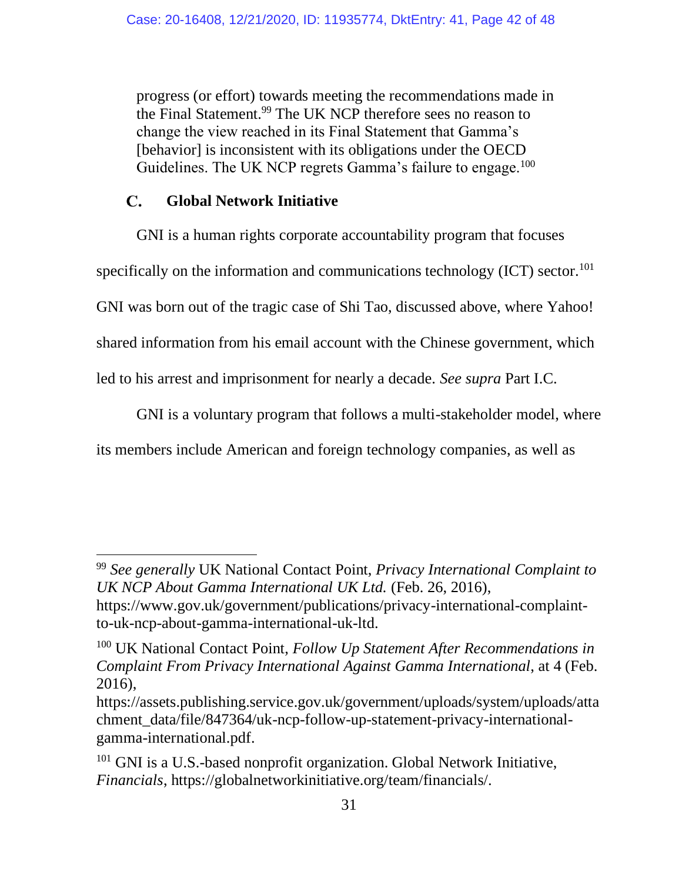progress (or effort) towards meeting the recommendations made in the Final Statement.<sup>99</sup> The UK NCP therefore sees no reason to change the view reached in its Final Statement that Gamma's [behavior] is inconsistent with its obligations under the OECD Guidelines. The UK NCP regrets Gamma's failure to engage.<sup>100</sup>

#### $\mathbf{C}$ . **Global Network Initiative**

GNI is a human rights corporate accountability program that focuses

specifically on the information and communications technology  $(ICT)$  sector.<sup>101</sup>

GNI was born out of the tragic case of Shi Tao, discussed above, where Yahoo!

shared information from his email account with the Chinese government, which

led to his arrest and imprisonment for nearly a decade. *See supra* Part I.C.

GNI is a voluntary program that follows a multi-stakeholder model, where

its members include American and foreign technology companies, as well as

<sup>99</sup> *See generally* UK National Contact Point, *Privacy International Complaint to UK NCP About Gamma International UK Ltd.* (Feb. 26, 2016),

https://www.gov.uk/government/publications/privacy-international-complaintto-uk-ncp-about-gamma-international-uk-ltd.

<sup>100</sup> UK National Contact Point, *Follow Up Statement After Recommendations in Complaint From Privacy International Against Gamma International*, at 4 (Feb. 2016),

https://assets.publishing.service.gov.uk/government/uploads/system/uploads/atta chment\_data/file/847364/uk-ncp-follow-up-statement-privacy-internationalgamma-international.pdf.

<sup>&</sup>lt;sup>101</sup> GNI is a U.S.-based nonprofit organization. Global Network Initiative, *Financials*, https://globalnetworkinitiative.org/team/financials/.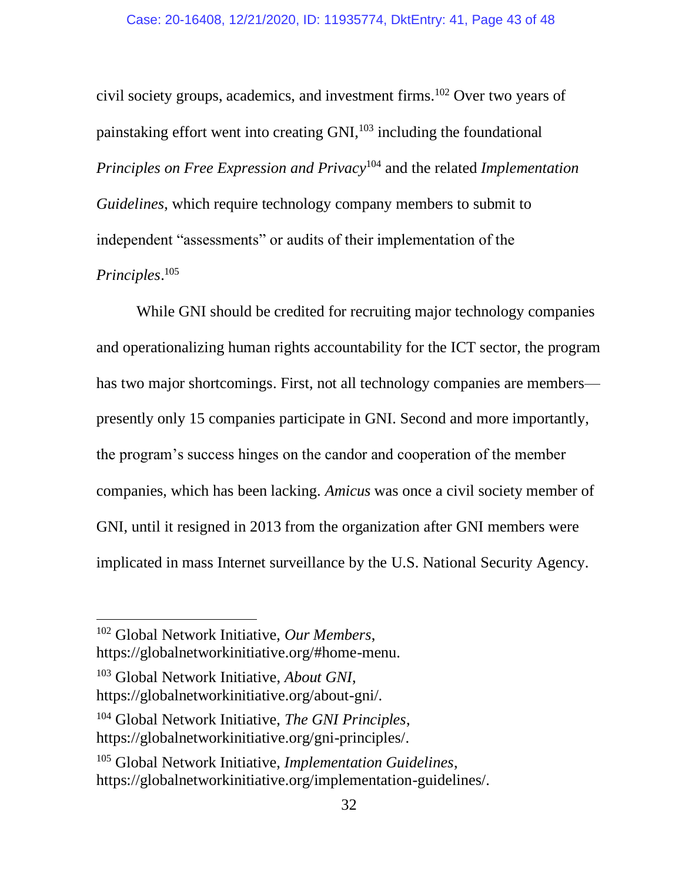civil society groups, academics, and investment firms.<sup>102</sup> Over two years of painstaking effort went into creating GNI,<sup>103</sup> including the foundational *Principles on Free Expression and Privacy*<sup>104</sup> and the related *Implementation Guidelines*, which require technology company members to submit to independent "assessments" or audits of their implementation of the *Principles*. 105

While GNI should be credited for recruiting major technology companies and operationalizing human rights accountability for the ICT sector, the program has two major shortcomings. First, not all technology companies are members presently only 15 companies participate in GNI. Second and more importantly, the program's success hinges on the candor and cooperation of the member companies, which has been lacking. *Amicus* was once a civil society member of GNI, until it resigned in 2013 from the organization after GNI members were implicated in mass Internet surveillance by the U.S. National Security Agency.

<sup>102</sup> Global Network Initiative, *Our Members*,

https://globalnetworkinitiative.org/#home-menu.

<sup>103</sup> Global Network Initiative, *About GNI*, https://globalnetworkinitiative.org/about-gni/.

<sup>104</sup> Global Network Initiative, *The GNI Principles*, https://globalnetworkinitiative.org/gni-principles/.

<sup>105</sup> Global Network Initiative, *Implementation Guidelines*, https://globalnetworkinitiative.org/implementation-guidelines/.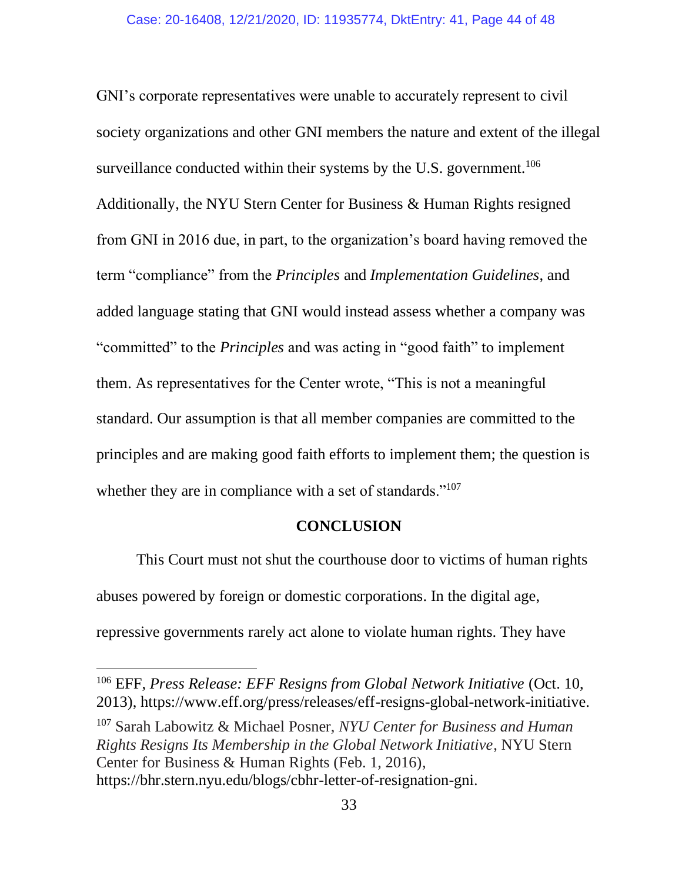GNI's corporate representatives were unable to accurately represent to civil society organizations and other GNI members the nature and extent of the illegal surveillance conducted within their systems by the U.S. government.<sup>106</sup> Additionally, the NYU Stern Center for Business & Human Rights resigned from GNI in 2016 due, in part, to the organization's board having removed the term "compliance" from the *Principles* and *Implementation Guidelines*, and added language stating that GNI would instead assess whether a company was "committed" to the *Principles* and was acting in "good faith" to implement them. As representatives for the Center wrote, "This is not a meaningful standard. Our assumption is that all member companies are committed to the principles and are making good faith efforts to implement them; the question is whether they are in compliance with a set of standards."<sup>107</sup>

#### **CONCLUSION**

This Court must not shut the courthouse door to victims of human rights abuses powered by foreign or domestic corporations. In the digital age, repressive governments rarely act alone to violate human rights. They have

<sup>106</sup> EFF, *Press Release: EFF Resigns from Global Network Initiative* (Oct. 10, 2013), https://www.eff.org/press/releases/eff-resigns-global-network-initiative.

<sup>107</sup> Sarah Labowitz & Michael Posner, *NYU Center for Business and Human Rights Resigns Its Membership in the Global Network Initiative*, NYU Stern Center for Business & Human Rights (Feb. 1, 2016), https://bhr.stern.nyu.edu/blogs/cbhr-letter-of-resignation-gni.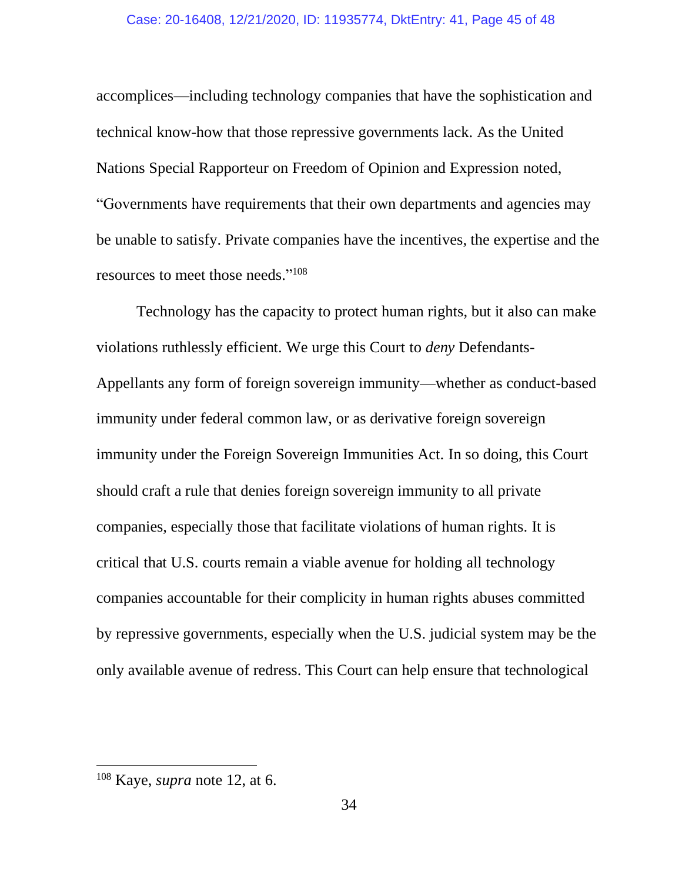accomplices—including technology companies that have the sophistication and technical know-how that those repressive governments lack. As the United Nations Special Rapporteur on Freedom of Opinion and Expression noted, "Governments have requirements that their own departments and agencies may be unable to satisfy. Private companies have the incentives, the expertise and the resources to meet those needs." 108

Technology has the capacity to protect human rights, but it also can make violations ruthlessly efficient. We urge this Court to *deny* Defendants-Appellants any form of foreign sovereign immunity—whether as conduct-based immunity under federal common law, or as derivative foreign sovereign immunity under the Foreign Sovereign Immunities Act. In so doing, this Court should craft a rule that denies foreign sovereign immunity to all private companies, especially those that facilitate violations of human rights. It is critical that U.S. courts remain a viable avenue for holding all technology companies accountable for their complicity in human rights abuses committed by repressive governments, especially when the U.S. judicial system may be the only available avenue of redress. This Court can help ensure that technological

<sup>108</sup> Kaye, *supra* note 12, at 6.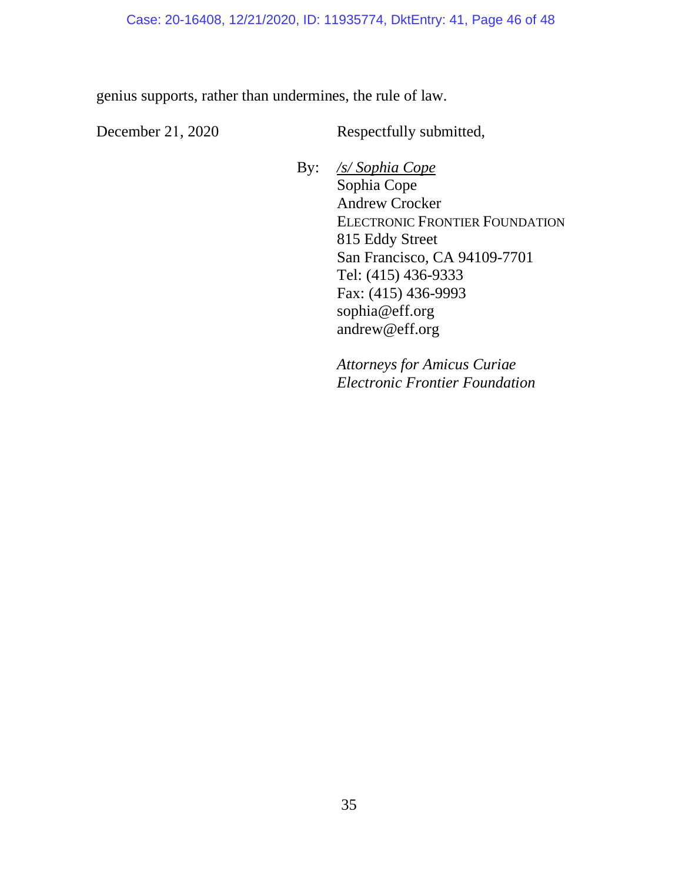genius supports, rather than undermines, the rule of law.

December 21, 2020 Respectfully submitted,

By: */s/ Sophia Cope* Sophia Cope Andrew Crocker ELECTRONIC FRONTIER FOUNDATION 815 Eddy Street San Francisco, CA 94109-7701 Tel: (415) 436-9333 Fax: (415) 436-9993 sophia@eff.org andrew@eff.org

> *Attorneys for Amicus Curiae Electronic Frontier Foundation*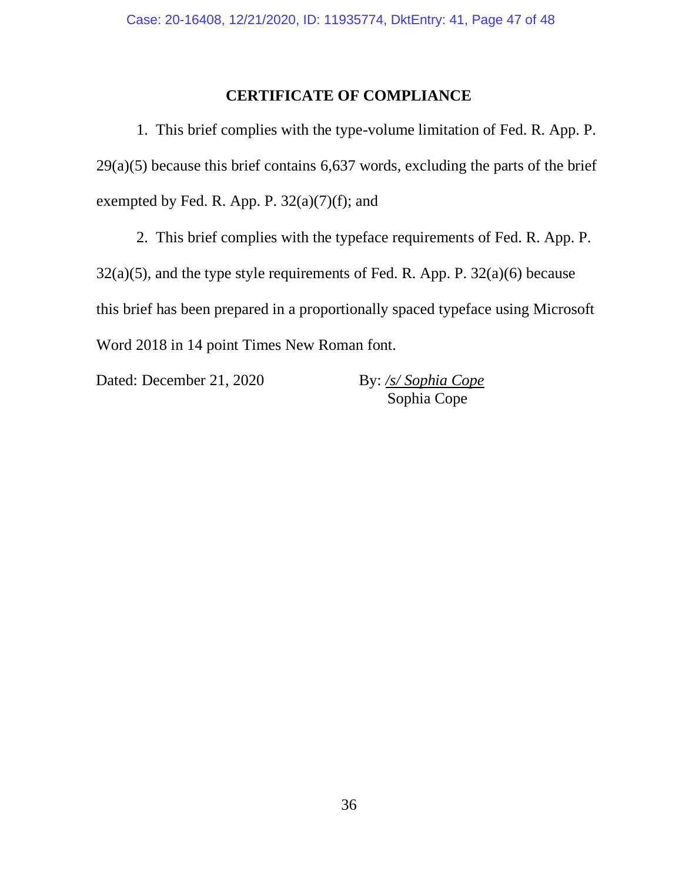#### **CERTIFICATE OF COMPLIANCE**

1. This brief complies with the type-volume limitation of Fed. R. App. P.  $29(a)(5)$  because this brief contains 6,637 words, excluding the parts of the brief exempted by Fed. R. App. P.  $32(a)(7)(f)$ ; and

2. This brief complies with the typeface requirements of Fed. R. App. P.

 $32(a)(5)$ , and the type style requirements of Fed. R. App. P.  $32(a)(6)$  because this brief has been prepared in a proportionally spaced typeface using Microsoft Word 2018 in 14 point Times New Roman font.

Dated: December 21, 2020 By: /s/ *Sophia Cope* 

Sophia Cope